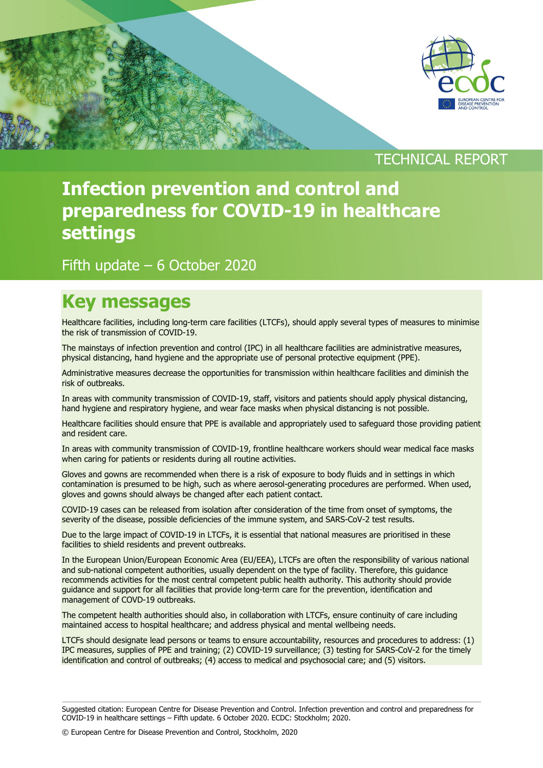

## TECHNICAL REPORT

# **Infection prevention and control and preparedness for COVID-19 in healthcare settings**

## Fifth update – 6 October 2020

## **Key messages**

Healthcare facilities, including long-term care facilities (LTCFs), should apply several types of measures to minimise the risk of transmission of COVID-19.

The mainstays of infection prevention and control (IPC) in all healthcare facilities are administrative measures, physical distancing, hand hygiene and the appropriate use of personal protective equipment (PPE).

Administrative measures decrease the opportunities for transmission within healthcare facilities and diminish the risk of outbreaks.

In areas with community transmission of COVID-19, staff, visitors and patients should apply physical distancing, hand hygiene and respiratory hygiene, and wear face masks when physical distancing is not possible.

Healthcare facilities should ensure that PPE is available and appropriately used to safeguard those providing patient and resident care.

In areas with community transmission of COVID-19, frontline healthcare workers should wear medical face masks when caring for patients or residents during all routine activities.

Gloves and gowns are recommended when there is a risk of exposure to body fluids and in settings in which contamination is presumed to be high, such as where aerosol-generating procedures are performed. When used, gloves and gowns should always be changed after each patient contact.

COVID-19 cases can be released from isolation after consideration of the time from onset of symptoms, the severity of the disease, possible deficiencies of the immune system, and SARS-CoV-2 test results.

Due to the large impact of COVID-19 in LTCFs, it is essential that national measures are prioritised in these facilities to shield residents and prevent outbreaks.

In the European Union/European Economic Area (EU/EEA), LTCFs are often the responsibility of various national and sub-national competent authorities, usually dependent on the type of facility. Therefore, this guidance recommends activities for the most central competent public health authority. This authority should provide guidance and support for all facilities that provide long-term care for the prevention, identification and management of COVD-19 outbreaks.

The competent health authorities should also, in collaboration with LTCFs, ensure continuity of care including maintained access to hospital healthcare; and address physical and mental wellbeing needs.

LTCFs should designate lead persons or teams to ensure accountability, resources and procedures to address: (1) IPC measures, supplies of PPE and training; (2) COVID-19 surveillance; (3) testing for SARS-CoV-2 for the timely identification and control of outbreaks; (4) access to medical and psychosocial care; and (5) visitors.

© European Centre for Disease Prevention and Control, Stockholm, 2020

Suggested citation: European Centre for Disease Prevention and Control. Infection prevention and control and preparedness for COVID-19 in healthcare settings – Fifth update. 6 October 2020. ECDC: Stockholm; 2020.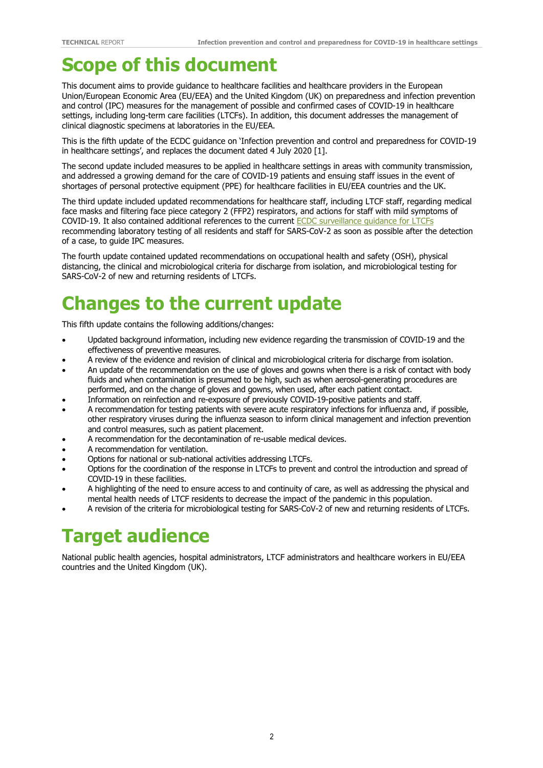## **Scope of this document**

This document aims to provide guidance to healthcare facilities and healthcare providers in the European Union/European Economic Area (EU/EEA) and the United Kingdom (UK) on preparedness and infection prevention and control (IPC) measures for the management of possible and confirmed cases of COVID-19 in healthcare settings, including long-term care facilities (LTCFs). In addition, this document addresses the management of clinical diagnostic specimens at laboratories in the EU/EEA.

This is the fifth update of the ECDC guidance on 'Infection prevention and control and preparedness for COVID-19 in healthcare settings', and replaces the document dated 4 July 2020 [1].

The second update included measures to be applied in healthcare settings in areas with community transmission, and addressed a growing demand for the care of COVID-19 patients and ensuing staff issues in the event of shortages of personal protective equipment (PPE) for healthcare facilities in EU/EEA countries and the UK.

The third update included updated recommendations for healthcare staff, including LTCF staff, regarding medical face masks and filtering face piece category 2 (FFP2) respirators, and actions for staff with mild symptoms of COVID-19. It also contained additional references to the current [ECDC surveillance guidance for LTCFs](https://www.ecdc.europa.eu/sites/default/files/documents/covid-19-long-term-care-facilities-surveillance-guidance.pdf) recommending laboratory testing of all residents and staff for SARS-CoV-2 as soon as possible after the detection of a case, to guide IPC measures.

The fourth update contained updated recommendations on occupational health and safety (OSH), physical distancing, the clinical and microbiological criteria for discharge from isolation, and microbiological testing for SARS-CoV-2 of new and returning residents of LTCFs.

# **Changes to the current update**

This fifth update contains the following additions/changes:

- Updated background information, including new evidence regarding the transmission of COVID-19 and the effectiveness of preventive measures.
- A review of the evidence and revision of clinical and microbiological criteria for discharge from isolation.
- An update of the recommendation on the use of gloves and gowns when there is a risk of contact with body fluids and when contamination is presumed to be high, such as when aerosol-generating procedures are performed, and on the change of gloves and gowns, when used, after each patient contact.
- Information on reinfection and re-exposure of previously COVID-19-positive patients and staff.
- A recommendation for testing patients with severe acute respiratory infections for influenza and, if possible, other respiratory viruses during the influenza season to inform clinical management and infection prevention and control measures, such as patient placement.
- A recommendation for the decontamination of re-usable medical devices.
- A recommendation for ventilation.
- Options for national or sub-national activities addressing LTCFs.
- Options for the coordination of the response in LTCFs to prevent and control the introduction and spread of COVID-19 in these facilities.
- A highlighting of the need to ensure access to and continuity of care, as well as addressing the physical and mental health needs of LTCF residents to decrease the impact of the pandemic in this population.
- A revision of the criteria for microbiological testing for SARS-CoV-2 of new and returning residents of LTCFs.

## **Target audience**

National public health agencies, hospital administrators, LTCF administrators and healthcare workers in EU/EEA countries and the United Kingdom (UK).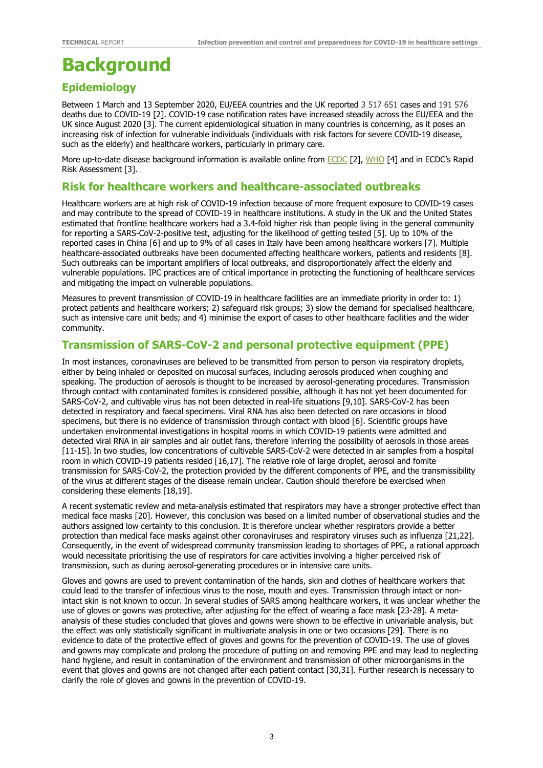# **Background**

## **Epidemiology**

Between 1 March and 13 September 2020, EU/EEA countries and the UK reported 3 517 651 cases and 191 576 deaths due to COVID-19 [2]. COVID-19 case notification rates have increased steadily across the EU/EEA and the UK since August 2020 [3]. The current epidemiological situation in many countries is concerning, as it poses an increasing risk of infection for vulnerable individuals (individuals with risk factors for severe COVID-19 disease, such as the elderly) and healthcare workers, particularly in primary care.

More up-to-date disease background information is available online from **ECDC** [2], WHO [4] and in [ECDC](https://www.ecdc.europa.eu/en/novel-coronavirus-china)'s Rapid Risk Assessment [3].

### **Risk for healthcare workers and healthcare-associated outbreaks**

Healthcare workers are at high risk of COVID-19 infection because of more frequent exposure to COVID-19 cases and may contribute to the spread of COVID-19 in healthcare institutions. A study in the UK and the United States estimated that frontline healthcare workers had a 3.4-fold higher risk than people living in the general community for reporting a SARS-CoV-2-positive test, adjusting for the likelihood of getting tested [5]. Up to 10% of the reported cases in China [6] and up to 9% of all cases in Italy have been among healthcare workers [7]. Multiple healthcare-associated outbreaks have been documented affecting healthcare workers, patients and residents [8]. Such outbreaks can be important amplifiers of local outbreaks, and disproportionately affect the elderly and vulnerable populations. IPC practices are of critical importance in protecting the functioning of healthcare services and mitigating the impact on vulnerable populations.

Measures to prevent transmission of COVID-19 in healthcare facilities are an immediate priority in order to: 1) protect patients and healthcare workers; 2) safeguard risk groups; 3) slow the demand for specialised healthcare, such as intensive care unit beds; and 4) minimise the export of cases to other healthcare facilities and the wider community.

### **Transmission of SARS-CoV-2 and personal protective equipment (PPE)**

In most instances, coronaviruses are believed to be transmitted from person to person via respiratory droplets, either by being inhaled or deposited on mucosal surfaces, including aerosols produced when coughing and speaking. The production of aerosols is thought to be increased by aerosol-generating procedures. Transmission through contact with contaminated fomites is considered possible, although it has not yet been documented for SARS-CoV-2, and cultivable virus has not been detected in real-life situations [9,10]. SARS-CoV-2 has been detected in respiratory and faecal specimens. Viral RNA has also been detected on rare occasions in blood specimens, but there is no evidence of transmission through contact with blood [6]. Scientific groups have undertaken environmental investigations in hospital rooms in which COVID-19 patients were admitted and detected viral RNA in air samples and air outlet fans, therefore inferring the possibility of aerosols in those areas [11-15]. In two studies, low concentrations of cultivable SARS-CoV-2 were detected in air samples from a hospital room in which COVID-19 patients resided [16,17]. The relative role of large droplet, aerosol and fomite transmission for SARS-CoV-2, the protection provided by the different components of PPE, and the transmissibility of the virus at different stages of the disease remain unclear. Caution should therefore be exercised when considering these elements [18,19].

A recent systematic review and meta-analysis estimated that respirators may have a stronger protective effect than medical face masks [20]. However, this conclusion was based on a limited number of observational studies and the authors assigned low certainty to this conclusion. It is therefore unclear whether respirators provide a better protection than medical face masks against other coronaviruses and respiratory viruses such as influenza [21,22]. Consequently, in the event of widespread community transmission leading to shortages of PPE, a rational approach would necessitate prioritising the use of respirators for care activities involving a higher perceived risk of transmission, such as during aerosol-generating procedures or in intensive care units.

Gloves and gowns are used to prevent contamination of the hands, skin and clothes of healthcare workers that could lead to the transfer of infectious virus to the nose, mouth and eyes. Transmission through intact or nonintact skin is not known to occur. In several studies of SARS among healthcare workers, it was unclear whether the use of gloves or gowns was protective, after adjusting for the effect of wearing a face mask [23-28]. Α metaanalysis of these studies concluded that gloves and gowns were shown to be effective in univariable analysis, but the effect was only statistically significant in multivariate analysis in one or two occasions [29]. There is no evidence to date of the protective effect of gloves and gowns for the prevention of COVID-19. The use of gloves and gowns may complicate and prolong the procedure of putting on and removing PPE and may lead to neglecting hand hygiene, and result in contamination of the environment and transmission of other microorganisms in the event that gloves and gowns are not changed after each patient contact [30,31]. Further research is necessary to clarify the role of gloves and gowns in the prevention of COVID-19.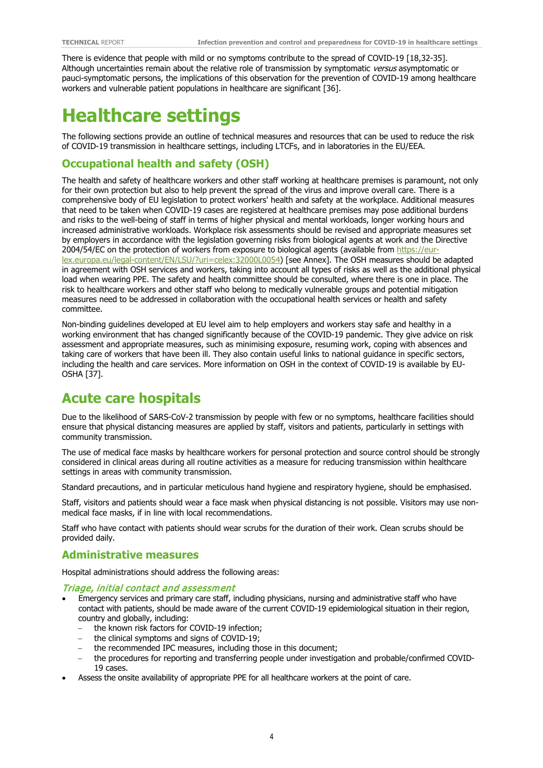There is evidence that people with mild or no symptoms contribute to the spread of COVID-19 [18,32-35]. Although uncertainties remain about the relative role of transmission by symptomatic versus asymptomatic or pauci-symptomatic persons, the implications of this observation for the prevention of COVID-19 among healthcare workers and vulnerable patient populations in healthcare are significant [36].

## **Healthcare settings**

The following sections provide an outline of technical measures and resources that can be used to reduce the risk of COVID-19 transmission in healthcare settings, including LTCFs, and in laboratories in the EU/EEA.

### **Occupational health and safety (OSH)**

The health and safety of healthcare workers and other staff working at healthcare premises is paramount, not only for their own protection but also to help prevent the spread of the virus and improve overall care. There is a comprehensive body of EU legislation to protect workers' health and safety at the workplace. Additional measures that need to be taken when COVID-19 cases are registered at healthcare premises may pose additional burdens and risks to the well-being of staff in terms of higher physical and mental workloads, longer working hours and increased administrative workloads. Workplace risk assessments should be revised and appropriate measures set by employers in accordance with the legislation governing risks from biological agents at work and the Directive 2004/54/EC on the protection of workers from exposure to biological agents (available from [https://eur](https://eur-lex.europa.eu/legal-content/EN/LSU/?uri=celex:32000L0054)[lex.europa.eu/legal-content/EN/LSU/?uri=celex:32000L0054\)](https://eur-lex.europa.eu/legal-content/EN/LSU/?uri=celex:32000L0054) [see Annex]. The OSH measures should be adapted in agreement with OSH services and workers, taking into account all types of risks as well as the additional physical load when wearing PPE. The safety and health committee should be consulted, where there is one in place. The risk to healthcare workers and other staff who belong to medically vulnerable groups and potential mitigation measures need to be addressed in collaboration with the occupational health services or health and safety committee.

Non-binding guidelines developed at EU level aim to help employers and workers stay safe and healthy in a working environment that has changed significantly because of the COVID-19 pandemic. They give advice on risk assessment and appropriate measures, such as minimising exposure, resuming work, coping with absences and taking care of workers that have been ill. They also contain useful links to national guidance in specific sectors, including the health and care services. More information on OSH in the context of COVID-19 is available by EU-OSHA [37].

## **Acute care hospitals**

Due to the likelihood of SARS-CoV-2 transmission by people with few or no symptoms, healthcare facilities should ensure that physical distancing measures are applied by staff, visitors and patients, particularly in settings with community transmission.

The use of medical face masks by healthcare workers for personal protection and source control should be strongly considered in clinical areas during all routine activities as a measure for reducing transmission within healthcare settings in areas with community transmission.

Standard precautions, and in particular meticulous hand hygiene and respiratory hygiene, should be emphasised.

Staff, visitors and patients should wear a face mask when physical distancing is not possible. Visitors may use nonmedical face masks, if in line with local recommendations.

Staff who have contact with patients should wear scrubs for the duration of their work. Clean scrubs should be provided daily.

### **Administrative measures**

Hospital administrations should address the following areas:

#### Triage, initial contact and assessment

- Emergency services and primary care staff, including physicians, nursing and administrative staff who have contact with patients, should be made aware of the current COVID-19 epidemiological situation in their region, country and globally, including:
	- the known risk factors for COVID-19 infection;
	- the clinical symptoms and signs of COVID-19;
	- the recommended IPC measures, including those in this document;
	- − the procedures for reporting and transferring people under investigation and probable/confirmed COVID-19 cases.
- Assess the onsite availability of appropriate PPE for all healthcare workers at the point of care.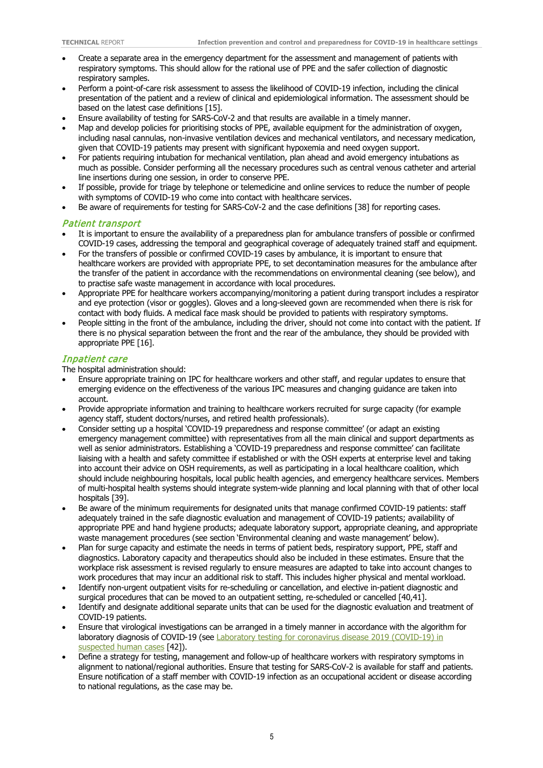- Create a separate area in the emergency department for the assessment and management of patients with respiratory symptoms. This should allow for the rational use of PPE and the safer collection of diagnostic respiratory samples.
- Perform a point-of-care risk assessment to assess the likelihood of COVID-19 infection, including the clinical presentation of the patient and a review of clinical and epidemiological information. The assessment should be based on the latest case definitions [15].
- Ensure availability of testing for SARS-CoV-2 and that results are available in a timely manner.
- Map and develop policies for prioritising stocks of PPE, available equipment for the administration of oxygen, including nasal cannulas, non-invasive ventilation devices and mechanical ventilators, and necessary medication, given that COVID-19 patients may present with significant hypoxemia and need oxygen support.
- For patients requiring intubation for mechanical ventilation, plan ahead and avoid emergency intubations as much as possible. Consider performing all the necessary procedures such as central venous catheter and arterial line insertions during one session, in order to conserve PPE.
- If possible, provide for triage by telephone or telemedicine and online services to reduce the number of people with symptoms of COVID-19 who come into contact with healthcare services.
- Be aware of requirements for testing for SARS-CoV-2 and the case definitions [38] for reporting cases.

#### Patient transport

- It is important to ensure the availability of a preparedness plan for ambulance transfers of possible or confirmed COVID-19 cases, addressing the temporal and geographical coverage of adequately trained staff and equipment.
- For the transfers of possible or confirmed COVID-19 cases by ambulance, it is important to ensure that healthcare workers are provided with appropriate PPE, to set decontamination measures for the ambulance after the transfer of the patient in accordance with the recommendations on environmental cleaning (see below), and to practise safe waste management in accordance with local procedures.
- Appropriate PPE for healthcare workers accompanying/monitoring a patient during transport includes a respirator and eye protection (visor or goggles). Gloves and a long-sleeved gown are recommended when there is risk for contact with body fluids. A medical face mask should be provided to patients with respiratory symptoms.
- People sitting in the front of the ambulance, including the driver, should not come into contact with the patient. If there is no physical separation between the front and the rear of the ambulance, they should be provided with appropriate PPE [16].

#### Inpatient care

The hospital administration should:

- Ensure appropriate training on IPC for healthcare workers and other staff, and regular updates to ensure that emerging evidence on the effectiveness of the various IPC measures and changing guidance are taken into account.
- Provide appropriate information and training to healthcare workers recruited for surge capacity (for example agency staff, student doctors/nurses, and retired health professionals).
- Consider setting up a hospital 'COVID-19 preparedness and response committee' (or adapt an existing emergency management committee) with representatives from all the main clinical and support departments as well as senior administrators. Establishing a 'COVID-19 preparedness and response committee' can facilitate liaising with a health and safety committee if established or with the OSH experts at enterprise level and taking into account their advice on OSH requirements, as well as participating in a local healthcare coalition, which should include neighbouring hospitals, local public health agencies, and emergency healthcare services. Members of multi-hospital health systems should integrate system-wide planning and local planning with that of other local hospitals [39].
- Be aware of the minimum requirements for designated units that manage confirmed COVID-19 patients: staff adequately trained in the safe diagnostic evaluation and management of COVID-19 patients; availability of appropriate PPE and hand hygiene products; adequate laboratory support, appropriate cleaning, and appropriate waste management procedures (see section 'Environmental cleaning and waste management' below).
- Plan for surge capacity and estimate the needs in terms of patient beds, respiratory support, PPE, staff and diagnostics. Laboratory capacity and therapeutics should also be included in these estimates. Ensure that the workplace risk assessment is revised regularly to ensure measures are adapted to take into account changes to work procedures that may incur an additional risk to staff. This includes higher physical and mental workload.
- Identify non-urgent outpatient visits for re-scheduling or cancellation, and elective in-patient diagnostic and surgical procedures that can be moved to an outpatient setting, re-scheduled or cancelled [40,41].
- Identify and designate additional separate units that can be used for the diagnostic evaluation and treatment of COVID-19 patients.
- Ensure that virological investigations can be arranged in a timely manner in accordance with the algorithm for laboratory diagnosis of COVID-19 (see Laboratory testing for coronavirus disease 2019 (COVID-19) in [suspected human cases](https://www.who.int/publications-detail/laboratory-testing-for-2019-novel-coronavirus-in-suspected-human-cases-20200117) [42]).
- Define a strategy for testing, management and follow-up of healthcare workers with respiratory symptoms in alignment to national/regional authorities. Ensure that testing for SARS-CoV-2 is available for staff and patients. Ensure notification of a staff member with COVID-19 infection as an occupational accident or disease according to national regulations, as the case may be.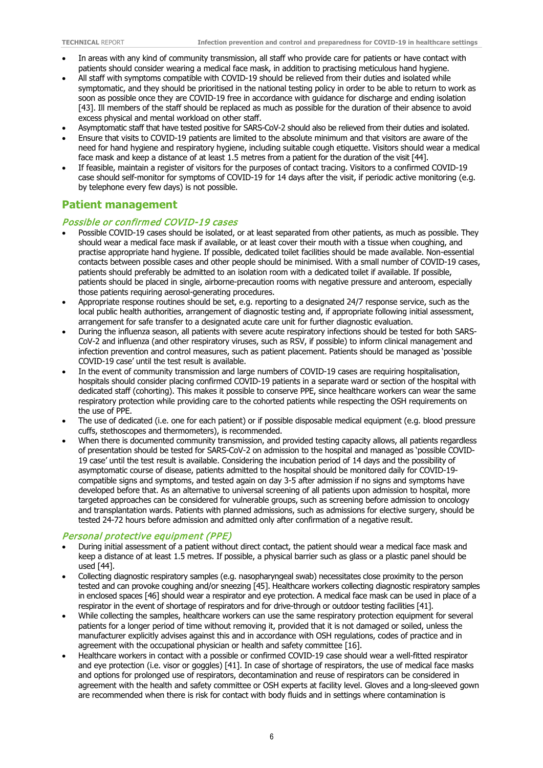- In areas with any kind of community transmission, all staff who provide care for patients or have contact with patients should consider wearing a medical face mask, in addition to practising meticulous hand hygiene.
- All staff with symptoms compatible with COVID-19 should be relieved from their duties and isolated while symptomatic, and they should be prioritised in the national testing policy in order to be able to return to work as soon as possible once they are COVID-19 free in accordance with guidance for discharge and ending isolation [43]. Ill members of the staff should be replaced as much as possible for the duration of their absence to avoid excess physical and mental workload on other staff.
- Asymptomatic staff that have tested positive for SARS-CoV-2 should also be relieved from their duties and isolated.
- Ensure that visits to COVID-19 patients are limited to the absolute minimum and that visitors are aware of the need for hand hygiene and respiratory hygiene, including suitable cough etiquette. Visitors should wear a medical face mask and keep a distance of at least 1.5 metres from a patient for the duration of the visit [44].
- If feasible, maintain a register of visitors for the purposes of contact tracing. Visitors to a confirmed COVID-19 case should self-monitor for symptoms of COVID-19 for 14 days after the visit, if periodic active monitoring (e.g. by telephone every few days) is not possible.

## **Patient management**

#### Possible or confirmed COVID-19 cases

- Possible COVID-19 cases should be isolated, or at least separated from other patients, as much as possible. They should wear a medical face mask if available, or at least cover their mouth with a tissue when coughing, and practise appropriate hand hygiene. If possible, dedicated toilet facilities should be made available. Non-essential contacts between possible cases and other people should be minimised. With a small number of COVID-19 cases, patients should preferably be admitted to an isolation room with a dedicated toilet if available. If possible, patients should be placed in single, airborne-precaution rooms with negative pressure and anteroom, especially those patients requiring aerosol-generating procedures.
- Appropriate response routines should be set, e.g. reporting to a designated 24/7 response service, such as the local public health authorities, arrangement of diagnostic testing and, if appropriate following initial assessment, arrangement for safe transfer to a designated acute care unit for further diagnostic evaluation.
- During the influenza season, all patients with severe acute respiratory infections should be tested for both SARS-CoV-2 and influenza (and other respiratory viruses, such as RSV, if possible) to inform clinical management and infection prevention and control measures, such as patient placement. Patients should be managed as 'possible COVID-19 case' until the test result is available.
- In the event of community transmission and large numbers of COVID-19 cases are requiring hospitalisation, hospitals should consider placing confirmed COVID-19 patients in a separate ward or section of the hospital with dedicated staff (cohorting). This makes it possible to conserve PPE, since healthcare workers can wear the same respiratory protection while providing care to the cohorted patients while respecting the OSH requirements on the use of PPE.
- The use of dedicated (i.e. one for each patient) or if possible disposable medical equipment (e.g. blood pressure cuffs, stethoscopes and thermometers), is recommended.
- When there is documented community transmission, and provided testing capacity allows, all patients regardless of presentation should be tested for SARS-CoV-2 on admission to the hospital and managed as 'possible COVID-19 case' until the test result is available. Considering the incubation period of 14 days and the possibility of asymptomatic course of disease, patients admitted to the hospital should be monitored daily for COVID-19 compatible signs and symptoms, and tested again on day 3-5 after admission if no signs and symptoms have developed before that. As an alternative to universal screening of all patients upon admission to hospital, more targeted approaches can be considered for vulnerable groups, such as screening before admission to oncology and transplantation wards. Patients with planned admissions, such as admissions for elective surgery, should be tested 24-72 hours before admission and admitted only after confirmation of a negative result.

#### Personal protective equipment (PPE)

- During initial assessment of a patient without direct contact, the patient should wear a medical face mask and keep a distance of at least 1.5 metres. If possible, a physical barrier such as glass or a plastic panel should be used [44].
- Collecting diagnostic respiratory samples (e.g. nasopharyngeal swab) necessitates close proximity to the person tested and can provoke coughing and/or sneezing [45]. Healthcare workers collecting diagnostic respiratory samples in enclosed spaces [46] should wear a respirator and eye protection. A medical face mask can be used in place of a respirator in the event of shortage of respirators and for drive-through or outdoor testing facilities [41].
- While collecting the samples, healthcare workers can use the same respiratory protection equipment for several patients for a longer period of time without removing it, provided that it is not damaged or soiled, unless the manufacturer explicitly advises against this and in accordance with OSH regulations, codes of practice and in agreement with the occupational physician or health and safety committee [16].
- Healthcare workers in contact with a possible or confirmed COVID-19 case should wear a well-fitted respirator and eye protection (i.e. visor or goggles) [41]. In case of shortage of respirators, the use of medical face masks and options for prolonged use of respirators, decontamination and reuse of respirators can be considered in agreement with the health and safety committee or OSH experts at facility level. Gloves and a long-sleeved gown are recommended when there is risk for contact with body fluids and in settings where contamination is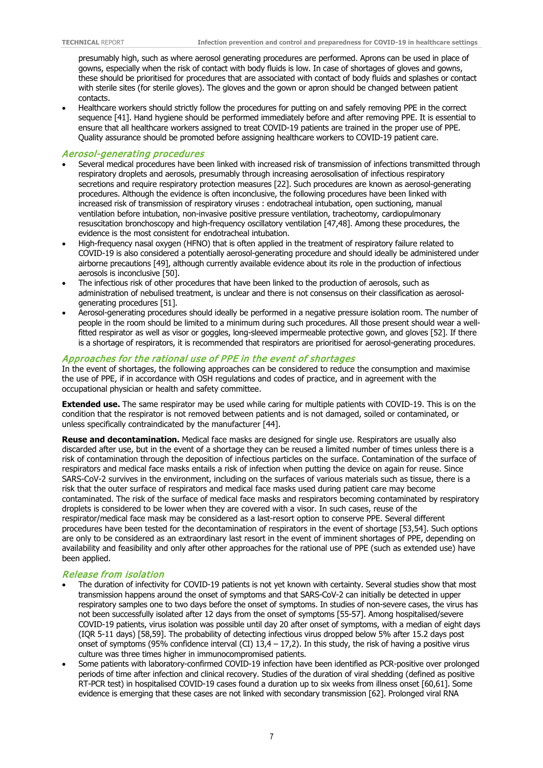presumably high, such as where aerosol generating procedures are performed. Aprons can be used in place of gowns, especially when the risk of contact with body fluids is low. In case of shortages of gloves and gowns, these should be prioritised for procedures that are associated with contact of body fluids and splashes or contact with sterile sites (for sterile gloves). The gloves and the gown or apron should be changed between patient contacts.

• Healthcare workers should strictly follow the procedures for putting on and safely removing PPE in the correct sequence [41]. Hand hygiene should be performed immediately before and after removing PPE. It is essential to ensure that all healthcare workers assigned to treat COVID-19 patients are trained in the proper use of PPE. Quality assurance should be promoted before assigning healthcare workers to COVID-19 patient care.

#### Aerosol-generating procedures

- Several medical procedures have been linked with increased risk of transmission of infections transmitted through respiratory droplets and aerosols, presumably through increasing aerosolisation of infectious respiratory secretions and require respiratory protection measures [22]. Such procedures are known as aerosol-generating procedures. Although the evidence is often inconclusive, the following procedures have been linked with increased risk of transmission of respiratory viruses : endotracheal intubation, open suctioning, manual ventilation before intubation, non-invasive positive pressure ventilation, tracheotomy, cardiopulmonary resuscitation bronchoscopy and high-frequency oscillatory ventilation [47,48]. Among these procedures, the evidence is the most consistent for endotracheal intubation.
- High-frequency nasal oxygen (HFNO) that is often applied in the treatment of respiratory failure related to COVID-19 is also considered a potentially aerosol-generating procedure and should ideally be administered under airborne precautions [49], although currently available evidence about its role in the production of infectious aerosols is inconclusive [50].
- The infectious risk of other procedures that have been linked to the production of aerosols, such as administration of nebulised treatment, is unclear and there is not consensus on their classification as aerosolgenerating procedures [51].
- Aerosol-generating procedures should ideally be performed in a negative pressure isolation room. The number of people in the room should be limited to a minimum during such procedures. All those present should wear a wellfitted respirator as well as visor or goggles, long-sleeved impermeable protective gown, and gloves [52]. If there is a shortage of respirators, it is recommended that respirators are prioritised for aerosol-generating procedures.

#### Approaches for the rational use of PPE in the event of shortages

In the event of shortages, the following approaches can be considered to reduce the consumption and maximise the use of PPE, if in accordance with OSH regulations and codes of practice, and in agreement with the occupational physician or health and safety committee.

**Extended use.** The same respirator may be used while caring for multiple patients with COVID-19. This is on the condition that the respirator is not removed between patients and is not damaged, soiled or contaminated, or unless specifically contraindicated by the manufacturer [44].

**Reuse and decontamination.** Medical face masks are designed for single use. Respirators are usually also discarded after use, but in the event of a shortage they can be reused a limited number of times unless there is a risk of contamination through the deposition of infectious particles on the surface. Contamination of the surface of respirators and medical face masks entails a risk of infection when putting the device on again for reuse. Since SARS-CoV-2 survives in the environment, including on the surfaces of various materials such as tissue, there is a risk that the outer surface of respirators and medical face masks used during patient care may become contaminated. The risk of the surface of medical face masks and respirators becoming contaminated by respiratory droplets is considered to be lower when they are covered with a visor. In such cases, reuse of the respirator/medical face mask may be considered as a last-resort option to conserve PPE. Several different procedures have been tested for the decontamination of respirators in the event of shortage [53,54]. Such options are only to be considered as an extraordinary last resort in the event of imminent shortages of PPE, depending on availability and feasibility and only after other approaches for the rational use of PPE (such as extended use) have been applied.

#### Release from isolation

- The duration of infectivity for COVID-19 patients is not yet known with certainty. Several studies show that most transmission happens around the onset of symptoms and that SARS-CoV-2 can initially be detected in upper respiratory samples one to two days before the onset of symptoms. In studies of non-severe cases, the virus has not been successfully isolated after 12 days from the onset of symptoms [55-57]. Among hospitalised/severe COVID-19 patients, virus isolation was possible until day 20 after onset of symptoms, with a median of eight days (IQR 5-11 days) [58,59]. The probability of detecting infectious virus dropped below 5% after 15.2 days post onset of symptoms (95% confidence interval (CI)  $13.4 - 17.2$ ). In this study, the risk of having a positive virus culture was three times higher in immunocompromised patients.
- Some patients with laboratory-confirmed COVID-19 infection have been identified as PCR-positive over prolonged periods of time after infection and clinical recovery. Studies of the duration of viral shedding (defined as positive RT-PCR test) in hospitalised COVID-19 cases found a duration up to six weeks from illness onset [60,61]. Some evidence is emerging that these cases are not linked with secondary transmission [62]. Prolonged viral RNA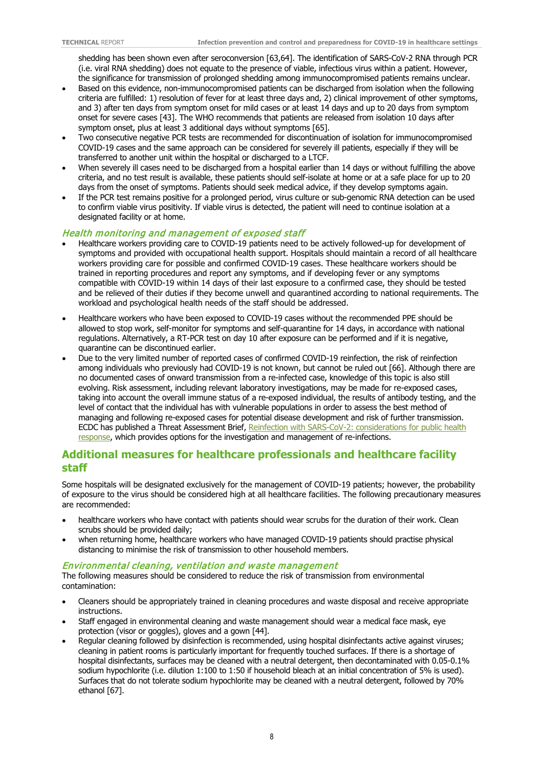shedding has been shown even after seroconversion [63,64]. The identification of SARS-CoV-2 RNA through PCR (i.e. viral RNA shedding) does not equate to the presence of viable, infectious virus within a patient. However, the significance for transmission of prolonged shedding among immunocompromised patients remains unclear.

- Based on this evidence, non-immunocompromised patients can be discharged from isolation when the following criteria are fulfilled: 1) resolution of fever for at least three days and, 2) clinical improvement of other symptoms, and 3) after ten days from symptom onset for mild cases or at least 14 days and up to 20 days from symptom onset for severe cases [43]. The WHO recommends that patients are released from isolation 10 days after symptom onset, plus at least 3 additional days without symptoms [65].
- Two consecutive negative PCR tests are recommended for discontinuation of isolation for immunocompromised COVID-19 cases and the same approach can be considered for severely ill patients, especially if they will be transferred to another unit within the hospital or discharged to a LTCF.
- When severely ill cases need to be discharged from a hospital earlier than 14 days or without fulfilling the above criteria, and no test result is available, these patients should self-isolate at home or at a safe place for up to 20 days from the onset of symptoms. Patients should seek medical advice, if they develop symptoms again.
- If the PCR test remains positive for a prolonged period, virus culture or sub-genomic RNA detection can be used to confirm viable virus positivity. If viable virus is detected, the patient will need to continue isolation at a designated facility or at home.

#### Health monitoring and management of exposed staff

- Healthcare workers providing care to COVID-19 patients need to be actively followed-up for development of symptoms and provided with occupational health support. Hospitals should maintain a record of all healthcare workers providing care for possible and confirmed COVID-19 cases. These healthcare workers should be trained in reporting procedures and report any symptoms, and if developing fever or any symptoms compatible with COVID-19 within 14 days of their last exposure to a confirmed case, they should be tested and be relieved of their duties if they become unwell and quarantined according to national requirements. The workload and psychological health needs of the staff should be addressed.
- Healthcare workers who have been exposed to COVID-19 cases without the recommended PPE should be allowed to stop work, self-monitor for symptoms and self-quarantine for 14 days, in accordance with national regulations. Alternatively, a RT-PCR test on day 10 after exposure can be performed and if it is negative, quarantine can be discontinued earlier.
- Due to the very limited number of reported cases of confirmed COVID-19 reinfection, the risk of reinfection among individuals who previously had COVID-19 is not known, but cannot be ruled out [66]. Although there are no documented cases of onward transmission from a re-infected case, knowledge of this topic is also still evolving. Risk assessment, including relevant laboratory investigations, may be made for re-exposed cases, taking into account the overall immune status of a re-exposed individual, the results of antibody testing, and the level of contact that the individual has with vulnerable populations in order to assess the best method of managing and following re-exposed cases for potential disease development and risk of further transmission. ECDC has published a Threat Assessment Brief, Reinfection with SARS-CoV-2: considerations for public health [response,](https://www.ecdc.europa.eu/sites/default/files/documents/Re-infection-and-viral-shedding-threat-assessment-brief.pdf) which provides options for the investigation and management of re-infections.

## **Additional measures for healthcare professionals and healthcare facility staff**

Some hospitals will be designated exclusively for the management of COVID-19 patients; however, the probability of exposure to the virus should be considered high at all healthcare facilities. The following precautionary measures are recommended:

- healthcare workers who have contact with patients should wear scrubs for the duration of their work. Clean scrubs should be provided daily;
- when returning home, healthcare workers who have managed COVID-19 patients should practise physical distancing to minimise the risk of transmission to other household members.

#### Environmental cleaning, ventilation and w aste management

The following measures should be considered to reduce the risk of transmission from environmental contamination:

- Cleaners should be appropriately trained in cleaning procedures and waste disposal and receive appropriate instructions.
- Staff engaged in environmental cleaning and waste management should wear a medical face mask, eye protection (visor or goggles), gloves and a gown [44].
- Regular cleaning followed by disinfection is recommended, using hospital disinfectants active against viruses; cleaning in patient rooms is particularly important for frequently touched surfaces. If there is a shortage of hospital disinfectants, surfaces may be cleaned with a neutral detergent, then decontaminated with 0.05-0.1% sodium hypochlorite (i.e. dilution 1:100 to 1:50 if household bleach at an initial concentration of 5% is used). Surfaces that do not tolerate sodium hypochlorite may be cleaned with a neutral detergent, followed by 70% ethanol [67].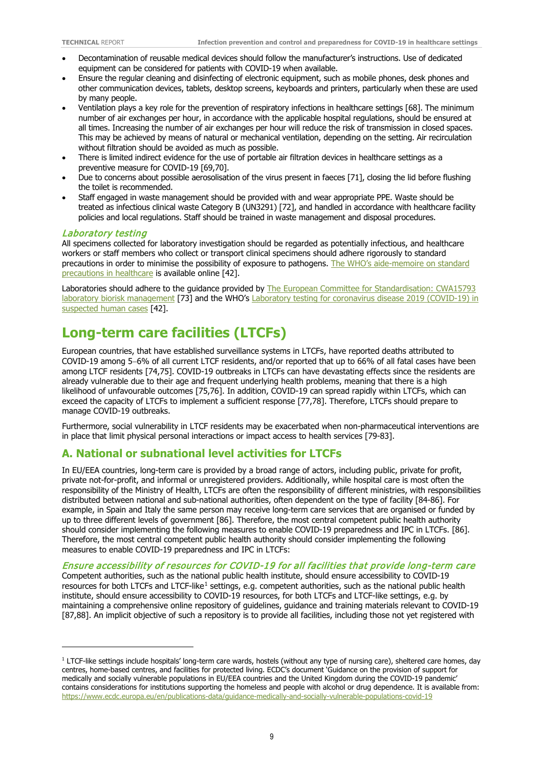- Decontamination of reusable medical devices should follow the manufacturer's instructions. Use of dedicated equipment can be considered for patients with COVID-19 when available.
- Ensure the regular cleaning and disinfecting of electronic equipment, such as mobile phones, desk phones and other communication devices, tablets, desktop screens, keyboards and printers, particularly when these are used by many people.
- Ventilation plays a key role for the prevention of respiratory infections in healthcare settings [68]. The minimum number of air exchanges per hour, in accordance with the applicable hospital regulations, should be ensured at all times. Increasing the number of air exchanges per hour will reduce the risk of transmission in closed spaces. This may be achieved by means of natural or mechanical ventilation, depending on the setting. Air recirculation without filtration should be avoided as much as possible.
- There is limited indirect evidence for the use of portable air filtration devices in healthcare settings as a preventive measure for COVID-19 [69,70].
- Due to concerns about possible aerosolisation of the virus present in faeces [71], closing the lid before flushing the toilet is recommended.
- Staff engaged in waste management should be provided with and wear appropriate PPE. Waste should be treated as infectious clinical waste Category B (UN3291) [72], and handled in accordance with healthcare facility policies and local regulations. Staff should be trained in waste management and disposal procedures.

#### Laboratory testing

All specimens collected for laboratory investigation should be regarded as potentially infectious, and healthcare workers or staff members who collect or transport clinical specimens should adhere rigorously to standard precautions in order to minimise the possibility of exposure to pathogens. The WHO's [aide-memoire on standard](http://www.who.int/csr/resources/publications/EPR_AM2_E7.pdf)  [precautions in healthcare](http://www.who.int/csr/resources/publications/EPR_AM2_E7.pdf) is available online [42].

Laboratories should adhere to the guidance provided by The European Committee for Standardisation: CWA15793 [laboratory biorisk management](https://www.uab.cat/doc/CWA15793_2011) [73] and the WHO's Laboratory testing for coronavirus disease 2019 (COVID-19) in [suspected human cases](https://www.who.int/publications-detail/laboratory-testing-for-2019-novel-coronavirus-in-suspected-human-cases-20200117) [42].

## **Long-term care facilities (LTCFs)**

European countries, that have established surveillance systems in LTCFs, have reported deaths attributed to COVID-19 among 5−6% of all current LTCF residents, and/or reported that up to 66% of all fatal cases have been among LTCF residents [74,75]. COVID-19 outbreaks in LTCFs can have devastating effects since the residents are already vulnerable due to their age and frequent underlying health problems, meaning that there is a high likelihood of unfavourable outcomes [75,76]. In addition, COVID-19 can spread rapidly within LTCFs, which can exceed the capacity of LTCFs to implement a sufficient response [77,78]. Therefore, LTCFs should prepare to manage COVID-19 outbreaks.

Furthermore, social vulnerability in LTCF residents may be exacerbated when non-pharmaceutical interventions are in place that limit physical personal interactions or impact access to health services [79-83].

## **A. National or subnational level activities for LTCFs**

In EU/EEA countries, long-term care is provided by a broad range of actors, including public, private for profit, private not-for-profit, and informal or unregistered providers. Additionally, while hospital care is most often the responsibility of the Ministry of Health, LTCFs are often the responsibility of different ministries, with responsibilities distributed between national and sub-national authorities, often dependent on the type of facility [84-86]. For example, in Spain and Italy the same person may receive long-term care services that are organised or funded by up to three different levels of government [86]. Therefore, the most central competent public health authority should consider implementing the following measures to enable COVID-19 preparedness and IPC in LTCFs. [86]. Therefore, the most central competent public health authority should consider implementing the following measures to enable COVID-19 preparedness and IPC in LTCFs:

#### Ensure accessibility of resources for COVID-19 for all facilities that provide long-term care

Competent authorities, such as the national public health institute, should ensure accessibility to COVID-19 resources for both LTCFs and LTCF-like<sup>[1](#page-8-0)</sup> settings, e.g. competent authorities, such as the national public health institute, should ensure accessibility to COVID-19 resources, for both LTCFs and LTCF-like settings, e.g. by maintaining a comprehensive online repository of guidelines, guidance and training materials relevant to COVID-19 [87,88]. An implicit objective of such a repository is to provide all facilities, including those not yet registered with

<span id="page-8-0"></span> $1$  LTCF-like settings include hospitals' long-term care wards, hostels (without any type of nursing care), sheltered care homes, day centres, home-based centres, and facilities for protected living. ECDC's document 'Guidance on the provision of support for medically and socially vulnerable populations in EU/EEA countries and the United Kingdom during the COVID-19 pandemic' contains considerations for institutions supporting the homeless and people with alcohol or drug dependence. It is available from: <https://www.ecdc.europa.eu/en/publications-data/guidance-medically-and-socially-vulnerable-populations-covid-19>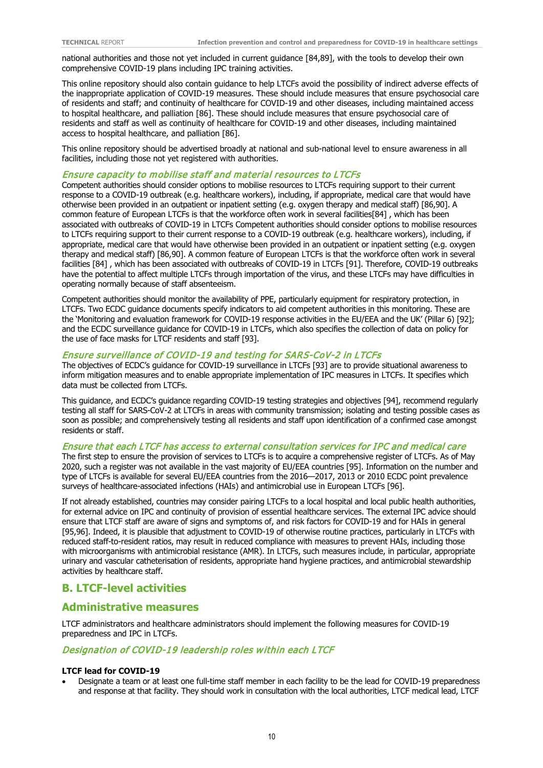national authorities and those not yet included in current guidance [84,89], with the tools to develop their own comprehensive COVID-19 plans including IPC training activities.

This online repository should also contain guidance to help LTCFs avoid the possibility of indirect adverse effects of the inappropriate application of COVID-19 measures. These should include measures that ensure psychosocial care of residents and staff; and continuity of healthcare for COVID-19 and other diseases, including maintained access to hospital healthcare, and palliation [86]. These should include measures that ensure psychosocial care of residents and staff as well as continuity of healthcare for COVID-19 and other diseases, including maintained access to hospital healthcare, and palliation [86].

This online repository should be advertised broadly at national and sub-national level to ensure awareness in all facilities, including those not yet registered with authorities.

#### Ensure capacity to mobilise staff and material resources to LTCFs

Competent authorities should consider options to mobilise resources to LTCFs requiring support to their current response to a COVID-19 outbreak (e.g. healthcare workers), including, if appropriate, medical care that would have otherwise been provided in an outpatient or inpatient setting (e.g. oxygen therapy and medical staff) [86,90]. A common feature of European LTCFs is that the workforce often work in several facilities[84] , which has been associated with outbreaks of COVID-19 in LTCFs Competent authorities should consider options to mobilise resources to LTCFs requiring support to their current response to a COVID-19 outbreak (e.g. healthcare workers), including, if appropriate, medical care that would have otherwise been provided in an outpatient or inpatient setting (e.g. oxygen therapy and medical staff) [86,90]. A common feature of European LTCFs is that the workforce often work in several facilities [84] , which has been associated with outbreaks of COVID-19 in LTCFs [91]. Therefore, COVID-19 outbreaks have the potential to affect multiple LTCFs through importation of the virus, and these LTCFs may have difficulties in operating normally because of staff absenteeism.

Competent authorities should monitor the availability of PPE, particularly equipment for respiratory protection, in LTCFs. Two ECDC guidance documents specify indicators to aid competent authorities in this monitoring. These are the 'Monitoring and evaluation framework for COVID-19 response activities in the EU/EEA and the UK' (Pillar 6) [92]; and the ECDC surveillance guidance for COVID-19 in LTCFs, which also specifies the collection of data on policy for the use of face masks for LTCF residents and staff [93].

#### Ensure surveillance of COVID-19 and testing for SARS-CoV-2 in LTCFs

The objectives of ECDC's guidance for COVID-19 surveillance in LTCFs [93] are to provide situational awareness to inform mitigation measures and to enable appropriate implementation of IPC measures in LTCFs. It specifies which data must be collected from LTCFs.

This guidance, and ECDC's guidance regarding COVID-19 testing strategies and objectives [94], recommend regularly testing all staff for SARS-CoV-2 at LTCFs in areas with community transmission; isolating and testing possible cases as soon as possible; and comprehensively testing all residents and staff upon identification of a confirmed case amongst residents or staff.

#### Ensure that each LTCF has access to external consultation services for IPC and medical care

The first step to ensure the provision of services to LTCFs is to acquire a comprehensive register of LTCFs. As of May 2020, such a register was not available in the vast majority of EU/EEA countries [95]. Information on the number and type of LTCFs is available for several EU/EEA countries from the 2016—2017, 2013 or 2010 ECDC point prevalence surveys of healthcare-associated infections (HAIs) and antimicrobial use in European LTCFs [96].

If not already established, countries may consider pairing LTCFs to a local hospital and local public health authorities, for external advice on IPC and continuity of provision of essential healthcare services. The external IPC advice should ensure that LTCF staff are aware of signs and symptoms of, and risk factors for COVID-19 and for HAIs in general [95,96]. Indeed, it is plausible that adjustment to COVID-19 of otherwise routine practices, particularly in LTCFs with reduced staff-to-resident ratios, may result in reduced compliance with measures to prevent HAIs, including those with microorganisms with antimicrobial resistance (AMR). In LTCFs, such measures include, in particular, appropriate urinary and vascular catheterisation of residents, appropriate hand hygiene practices, and antimicrobial stewardship activities by healthcare staff.

### **B. LTCF-level activities**

#### **Administrative measures**

LTCF administrators and healthcare administrators should implement the following measures for COVID-19 preparedness and IPC in LTCFs.

#### Designation of COVID-19 leadership roles within each LTCF

#### **LTCF lead for COVID-19**

• Designate a team or at least one full-time staff member in each facility to be the lead for COVID-19 preparedness and response at that facility. They should work in consultation with the local authorities, LTCF medical lead, LTCF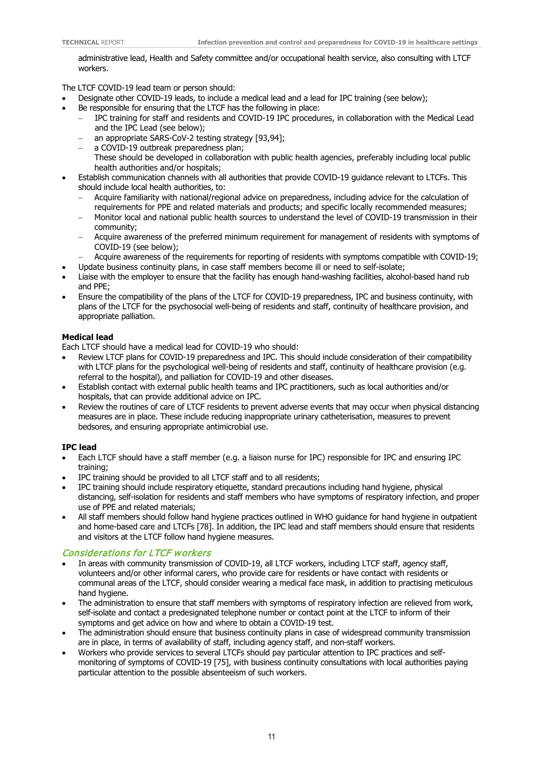administrative lead, Health and Safety committee and/or occupational health service, also consulting with LTCF workers.

The LTCF COVID-19 lead team or person should:

- Designate other COVID-19 leads, to include a medical lead and a lead for IPC training (see below);
- Be responsible for ensuring that the LTCF has the following in place:
	- − IPC training for staff and residents and COVID-19 IPC procedures, in collaboration with the Medical Lead and the IPC Lead (see below);
		- an appropriate SARS-CoV-2 testing strategy [93,94];
	- − a COVID-19 outbreak preparedness plan;
		- These should be developed in collaboration with public health agencies, preferably including local public health authorities and/or hospitals;
- Establish communication channels with all authorities that provide COVID-19 guidance relevant to LTCFs. This should include local health authorities, to:
	- − Acquire familiarity with national/regional advice on preparedness, including advice for the calculation of requirements for PPE and related materials and products; and specific locally recommended measures;
	- − Monitor local and national public health sources to understand the level of COVID-19 transmission in their community;
	- − Acquire awareness of the preferred minimum requirement for management of residents with symptoms of COVID-19 (see below);
	- − Acquire awareness of the requirements for reporting of residents with symptoms compatible with COVID-19; • Update business continuity plans, in case staff members become ill or need to self-isolate;
- Liaise with the employer to ensure that the facility has enough hand-washing facilities, alcohol-based hand rub and PPE;
- Ensure the compatibility of the plans of the LTCF for COVID-19 preparedness, IPC and business continuity, with plans of the LTCF for the psychosocial well-being of residents and staff, continuity of healthcare provision, and appropriate palliation.

#### **Medical lead**

Each LTCF should have a medical lead for COVID-19 who should:

- Review LTCF plans for COVID-19 preparedness and IPC. This should include consideration of their compatibility with LTCF plans for the psychological well-being of residents and staff, continuity of healthcare provision (e.g. referral to the hospital), and palliation for COVID-19 and other diseases.
- Establish contact with external public health teams and IPC practitioners, such as local authorities and/or hospitals, that can provide additional advice on IPC.
- Review the routines of care of LTCF residents to prevent adverse events that may occur when physical distancing measures are in place. These include reducing inappropriate urinary catheterisation, measures to prevent bedsores, and ensuring appropriate antimicrobial use.

#### **IPC lead**

- Each LTCF should have a staff member (e.g. a liaison nurse for IPC) responsible for IPC and ensuring IPC training;
- IPC training should be provided to all LTCF staff and to all residents;
- IPC training should include respiratory etiquette, standard precautions including hand hygiene, physical distancing, self-isolation for residents and staff members who have symptoms of respiratory infection, and proper use of PPE and related materials;
- All staff members should follow hand hygiene practices outlined in WHO guidance for hand hygiene in outpatient and home-based care and LTCFs [78]. In addition, the IPC lead and staff members should ensure that residents and visitors at the LTCF follow hand hygiene measures.

#### Considerations for LTCF workers

- In areas with community transmission of COVID-19, all LTCF workers, including LTCF staff, agency staff, volunteers and/or other informal carers, who provide care for residents or have contact with residents or communal areas of the LTCF, should consider wearing a medical face mask, in addition to practising meticulous hand hygiene.
- The administration to ensure that staff members with symptoms of respiratory infection are relieved from work, self-isolate and contact a predesignated telephone number or contact point at the LTCF to inform of their symptoms and get advice on how and where to obtain a COVID-19 test.
- The administration should ensure that business continuity plans in case of widespread community transmission are in place, in terms of availability of staff, including agency staff, and non-staff workers.
- Workers who provide services to several LTCFs should pay particular attention to IPC practices and selfmonitoring of symptoms of COVID-19 [75], with business continuity consultations with local authorities paying particular attention to the possible absenteeism of such workers.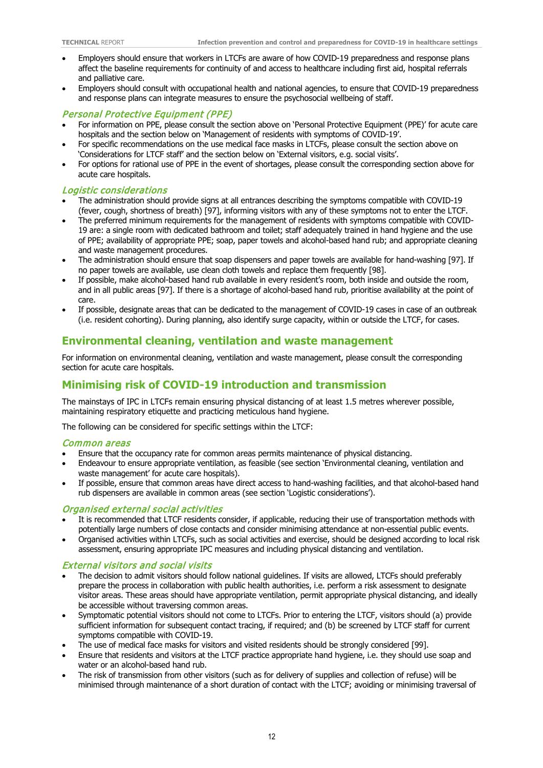- Employers should ensure that workers in LTCFs are aware of how COVID-19 preparedness and response plans affect the baseline requirements for continuity of and access to healthcare including first aid, hospital referrals and palliative care.
- Employers should consult with occupational health and national agencies, to ensure that COVID-19 preparedness and response plans can integrate measures to ensure the psychosocial wellbeing of staff.

#### Personal Protective Equipment (PPE)

- For information on PPE, please consult the section above on 'Personal Protective Equipment (PPE)' for acute care hospitals and the section below on 'Management of residents with symptoms of COVID-19'.
- For specific recommendations on the use medical face masks in LTCFs, please consult the section above on 'Considerations for LTCF staff' and the section below on 'External visitors, e.g. social visits'.
- For options for rational use of PPE in the event of shortages, please consult the corresponding section above for acute care hospitals.

#### Logistic considerations

- The administration should provide signs at all entrances describing the symptoms compatible with COVID-19 (fever, cough, shortness of breath) [97], informing visitors with any of these symptoms not to enter the LTCF.
- The preferred minimum requirements for the management of residents with symptoms compatible with COVID-19 are: a single room with dedicated bathroom and toilet; staff adequately trained in hand hygiene and the use of PPE; availability of appropriate PPE; soap, paper towels and alcohol-based hand rub; and appropriate cleaning and waste management procedures.
- The administration should ensure that soap dispensers and paper towels are available for hand-washing [97]. If no paper towels are available, use clean cloth towels and replace them frequently [98].
- If possible, make alcohol-based hand rub available in every resident's room, both inside and outside the room, and in all public areas [97]. If there is a shortage of alcohol-based hand rub, prioritise availability at the point of care.
- If possible, designate areas that can be dedicated to the management of COVID-19 cases in case of an outbreak (i.e. resident cohorting). During planning, also identify surge capacity, within or outside the LTCF, for cases.

### **Environmental cleaning, ventilation and waste management**

For information on environmental cleaning, ventilation and waste management, please consult the corresponding section for acute care hospitals.

### **Minimising risk of COVID-19 introduction and transmission**

The mainstays of IPC in LTCFs remain ensuring physical distancing of at least 1.5 metres wherever possible, maintaining respiratory etiquette and practicing meticulous hand hygiene.

The following can be considered for specific settings within the LTCF:

#### Common areas

- Ensure that the occupancy rate for common areas permits maintenance of physical distancing.
- Endeavour to ensure appropriate ventilation, as feasible (see section 'Environmental cleaning, ventilation and waste management' for acute care hospitals).
- If possible, ensure that common areas have direct access to hand-washing facilities, and that alcohol-based hand rub dispensers are available in common areas (see section 'Logistic considerations').

#### Organised external social activities

- It is recommended that LTCF residents consider, if applicable, reducing their use of transportation methods with potentially large numbers of close contacts and consider minimising attendance at non-essential public events.
- Organised activities within LTCFs, such as social activities and exercise, should be designed according to local risk assessment, ensuring appropriate IPC measures and including physical distancing and ventilation.

#### External visitors and social visits

- The decision to admit visitors should follow national guidelines. If visits are allowed, LTCFs should preferably prepare the process in collaboration with public health authorities, i.e. perform a risk assessment to designate visitor areas. These areas should have appropriate ventilation, permit appropriate physical distancing, and ideally be accessible without traversing common areas.
- Symptomatic potential visitors should not come to LTCFs. Prior to entering the LTCF, visitors should (a) provide sufficient information for subsequent contact tracing, if required; and (b) be screened by LTCF staff for current symptoms compatible with COVID-19.
- The use of medical face masks for visitors and visited residents should be strongly considered [99].
- Ensure that residents and visitors at the LTCF practice appropriate hand hygiene, i.e. they should use soap and water or an alcohol-based hand rub.
- The risk of transmission from other visitors (such as for delivery of supplies and collection of refuse) will be minimised through maintenance of a short duration of contact with the LTCF; avoiding or minimising traversal of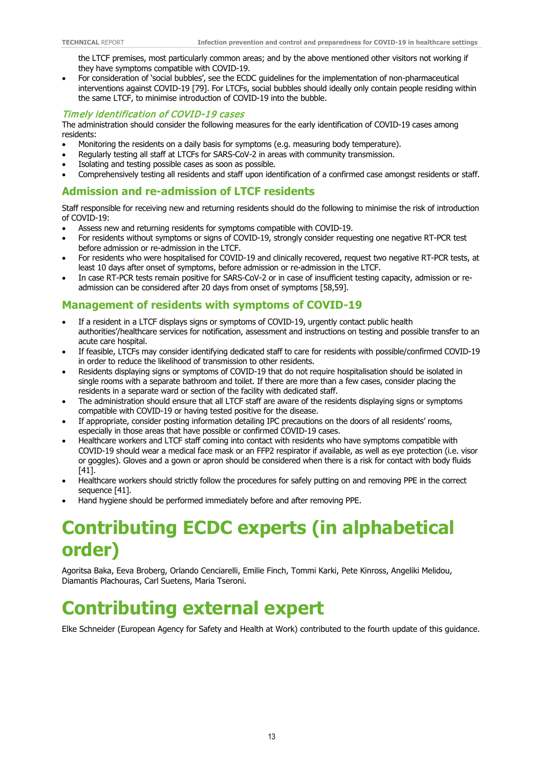the LTCF premises, most particularly common areas; and by the above mentioned other visitors not working if they have symptoms compatible with COVID-19.

• For consideration of 'social bubbles', see the ECDC guidelines for the implementation of non-pharmaceutical interventions against COVID-19 [79]. For LTCFs, social bubbles should ideally only contain people residing within the same LTCF, to minimise introduction of COVID-19 into the bubble.

#### Timely identification of COVID-19 cases

The administration should consider the following measures for the early identification of COVID-19 cases among residents:

- Monitoring the residents on a daily basis for symptoms (e.g. measuring body temperature).
- Regularly testing all staff at LTCFs for SARS-CoV-2 in areas with community transmission.
- Isolating and testing possible cases as soon as possible.
- Comprehensively testing all residents and staff upon identification of a confirmed case amongst residents or staff.

## **Admission and re-admission of LTCF residents**

Staff responsible for receiving new and returning residents should do the following to minimise the risk of introduction of COVID-19:

- Assess new and returning residents for symptoms compatible with COVID-19.
- For residents without symptoms or signs of COVID-19, strongly consider requesting one negative RT-PCR test before admission or re-admission in the LTCF.
- For residents who were hospitalised for COVID-19 and clinically recovered, request two negative RT-PCR tests, at least 10 days after onset of symptoms, before admission or re-admission in the LTCF.
- In case RT-PCR tests remain positive for SARS-CoV-2 or in case of insufficient testing capacity, admission or readmission can be considered after 20 days from onset of symptoms [58,59].

## **Management of residents with symptoms of COVID-19**

- If a resident in a LTCF displays signs or symptoms of COVID-19, urgently contact public health authorities'/healthcare services for notification, assessment and instructions on testing and possible transfer to an acute care hospital.
- If feasible, LTCFs may consider identifying dedicated staff to care for residents with possible/confirmed COVID-19 in order to reduce the likelihood of transmission to other residents.
- Residents displaying signs or symptoms of COVID-19 that do not require hospitalisation should be isolated in single rooms with a separate bathroom and toilet. If there are more than a few cases, consider placing the residents in a separate ward or section of the facility with dedicated staff.
- The administration should ensure that all LTCF staff are aware of the residents displaying signs or symptoms compatible with COVID-19 or having tested positive for the disease.
- If appropriate, consider posting information detailing IPC precautions on the doors of all residents' rooms, especially in those areas that have possible or confirmed COVID-19 cases.
- Healthcare workers and LTCF staff coming into contact with residents who have symptoms compatible with COVID-19 should wear a medical face mask or an FFP2 respirator if available, as well as eye protection (i.e. visor or goggles). Gloves and a gown or apron should be considered when there is a risk for contact with body fluids [41].
- Healthcare workers should strictly follow the procedures for safely putting on and removing PPE in the correct sequence [41].
- Hand hygiene should be performed immediately before and after removing PPE.

# **Contributing ECDC experts (in alphabetical order)**

Agoritsa Baka, Eeva Broberg, Orlando Cenciarelli, Emilie Finch, Tommi Karki, Pete Kinross, Angeliki Melidou, Diamantis Plachouras, Carl Suetens, Maria Tseroni.

# **Contributing external expert**

Elke Schneider (European Agency for Safety and Health at Work) contributed to the fourth update of this guidance.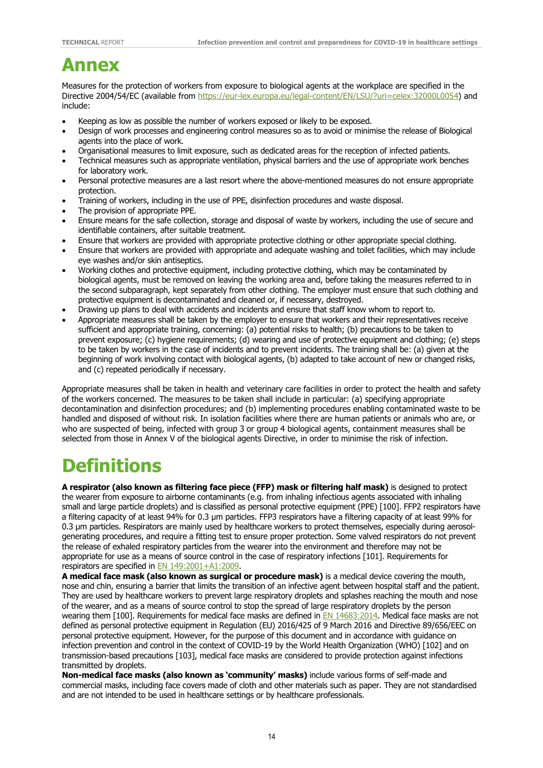## **Annex**

Measures for the protection of workers from exposure to biological agents at the workplace are specified in the Directive 2004/54/EC (available from [https://eur-lex.europa.eu/legal-content/EN/LSU/?uri=celex:32000L0054\)](https://eur-lex.europa.eu/legal-content/EN/LSU/?uri=celex:32000L0054) and include:

- Keeping as low as possible the number of workers exposed or likely to be exposed.
- Design of work processes and engineering control measures so as to avoid or minimise the release of Biological agents into the place of work.
- Organisational measures to limit exposure, such as dedicated areas for the reception of infected patients.
- Technical measures such as appropriate ventilation, physical barriers and the use of appropriate work benches for laboratory work.
- Personal protective measures are a last resort where the above-mentioned measures do not ensure appropriate protection.
- Training of workers, including in the use of PPE, disinfection procedures and waste disposal.
- The provision of appropriate PPE.
- Ensure means for the safe collection, storage and disposal of waste by workers, including the use of secure and identifiable containers, after suitable treatment.
- Ensure that workers are provided with appropriate protective clothing or other appropriate special clothing.
- Ensure that workers are provided with appropriate and adequate washing and toilet facilities, which may include eye washes and/or skin antiseptics.
- Working clothes and protective equipment, including protective clothing, which may be contaminated by biological agents, must be removed on leaving the working area and, before taking the measures referred to in the second subparagraph, kept separately from other clothing. The employer must ensure that such clothing and protective equipment is decontaminated and cleaned or, if necessary, destroyed.
- Drawing up plans to deal with accidents and incidents and ensure that staff know whom to report to.
- Appropriate measures shall be taken by the employer to ensure that workers and their representatives receive sufficient and appropriate training, concerning: (a) potential risks to health; (b) precautions to be taken to prevent exposure; (c) hygiene requirements; (d) wearing and use of protective equipment and clothing; (e) steps to be taken by workers in the case of incidents and to prevent incidents. The training shall be: (a) given at the beginning of work involving contact with biological agents, (b) adapted to take account of new or changed risks, and (c) repeated periodically if necessary.

Appropriate measures shall be taken in health and veterinary care facilities in order to protect the health and safety of the workers concerned. The measures to be taken shall include in particular: (a) specifying appropriate decontamination and disinfection procedures; and (b) implementing procedures enabling contaminated waste to be handled and disposed of without risk. In isolation facilities where there are human patients or animals who are, or who are suspected of being, infected with group 3 or group 4 biological agents, containment measures shall be selected from those in Annex V of the biological agents Directive, in order to minimise the risk of infection.

# **Definitions**

**A respirator (also known as filtering face piece (FFP) mask or filtering half mask)** is designed to protect the wearer from exposure to airborne contaminants (e.g. from inhaling infectious agents associated with inhaling small and large particle droplets) and is classified as personal protective equipment (PPE) [100]. FFP2 respirators have a filtering capacity of at least 94% for 0.3 μm particles. FFP3 respirators have a filtering capacity of at least 99% for 0.3 μm particles. Respirators are mainly used by healthcare workers to protect themselves, especially during aerosolgenerating procedures, and require a fitting test to ensure proper protection. Some valved respirators do not prevent the release of exhaled respiratory particles from the wearer into the environment and therefore may not be appropriate for use as a means of source control in the case of respiratory infections [101]. Requirements for respirators are specified in [EN 149:2001+A1:2009.](https://standards.cen.eu/dyn/www/f?p=204:110:0::::FSP_PROJECT,FSP_ORG_ID:32928,6062&cs=1FC98AD34A5EE26A0CB5A6155ED4D6E5E)

**A medical face mask (also known as surgical or procedure mask)** is a medical device covering the mouth, nose and chin, ensuring a barrier that limits the transition of an infective agent between hospital staff and the patient. They are used by healthcare workers to prevent large respiratory droplets and splashes reaching the mouth and nose of the wearer, and as a means of source control to stop the spread of large respiratory droplets by the person wearing them [100]. Requirements for medical face masks are defined in [EN 14683:2014.](https://standards.cen.eu/dyn/www/f?p=204:110:0::::FSP_PROJECT,FSP_ORG_ID:69675,6186&cs=19F67DA57C81359DD409C62A083C97AD7) Medical face masks are not defined as personal protective equipment in [Regulation \(EU\) 2016/425 of 9 March 2016](https://eur-lex.europa.eu/legal-content/EN/TXT/?uri=CELEX:32016R0425) and Directive 89/656/EEC on personal protective equipment. However, for the purpose of this document and in accordance with guidance on infection prevention and control in the context of COVID-19 by the World Health Organization (WHO) [102] and on transmission-based precautions [103], medical face masks are considered to provide protection against infections transmitted by droplets.

**Non-medical face masks (also known as 'community' masks)** include various forms of self-made and commercial masks, including face covers made of cloth and other materials such as paper. They are not standardised and are not intended to be used in healthcare settings or by healthcare professionals.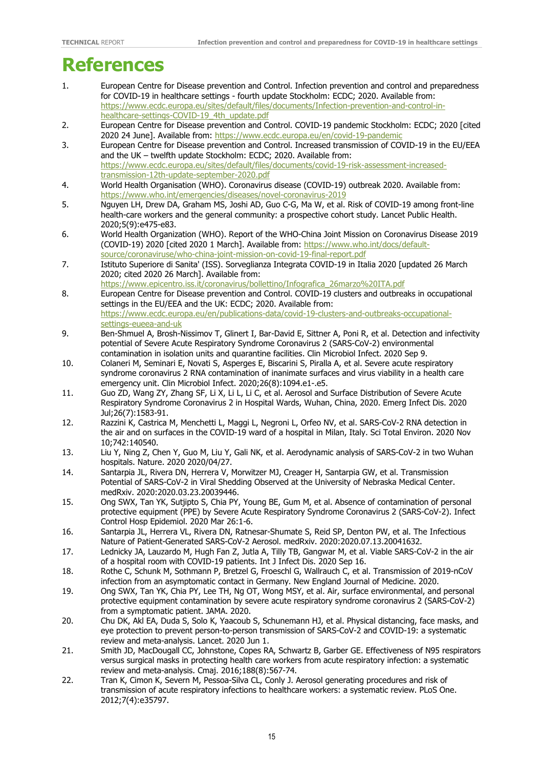## **References**

- 1. European Centre for Disease prevention and Control. Infection prevention and control and preparedness for COVID-19 in healthcare settings - fourth update Stockholm: ECDC; 2020. Available from: [https://www.ecdc.europa.eu/sites/default/files/documents/Infection-prevention-and-control-in](https://www.ecdc.europa.eu/sites/default/files/documents/Infection-prevention-and-control-in-healthcare-settings-COVID-19_4th_update.pdf)[healthcare-settings-COVID-19\\_4th\\_update.pdf](https://www.ecdc.europa.eu/sites/default/files/documents/Infection-prevention-and-control-in-healthcare-settings-COVID-19_4th_update.pdf)
- 2. European Centre for Disease prevention and Control. COVID-19 pandemic Stockholm: ECDC; 2020 [cited 2020 24 June]. Available from:<https://www.ecdc.europa.eu/en/covid-19-pandemic>
- 3. European Centre for Disease prevention and Control. Increased transmission of COVID-19 in the EU/EEA and the UK – twelfth update Stockholm: ECDC; 2020. Available from: [https://www.ecdc.europa.eu/sites/default/files/documents/covid-19-risk-assessment-increased](https://www.ecdc.europa.eu/sites/default/files/documents/covid-19-risk-assessment-increased-transmission-12th-update-september-2020.pdf)[transmission-12th-update-september-2020.pdf](https://www.ecdc.europa.eu/sites/default/files/documents/covid-19-risk-assessment-increased-transmission-12th-update-september-2020.pdf)
- 4. World Health Organisation (WHO). Coronavirus disease (COVID-19) outbreak 2020. Available from: <https://www.who.int/emergencies/diseases/novel-coronavirus-2019>
- 5. Nguyen LH, Drew DA, Graham MS, Joshi AD, Guo C-G, Ma W, et al. Risk of COVID-19 among front-line health-care workers and the general community: a prospective cohort study. Lancet Public Health. 2020;5(9):e475-e83.
- 6. World Health Organization (WHO). Report of the WHO-China Joint Mission on Coronavirus Disease 2019 (COVID-19) 2020 [cited 2020 1 March]. Available from: [https://www.who.int/docs/default](https://www.who.int/docs/default-source/coronaviruse/who-china-joint-mission-on-covid-19-final-report.pdf)[source/coronaviruse/who-china-joint-mission-on-covid-19-final-report.pdf](https://www.who.int/docs/default-source/coronaviruse/who-china-joint-mission-on-covid-19-final-report.pdf)
- 7. Istituto Superiore di Sanita' (ISS). Sorveglianza Integrata COVID-19 in Italia 2020 [updated 26 March 2020; cited 2020 26 March]. Available from:
- [https://www.epicentro.iss.it/coronavirus/bollettino/Infografica\\_26marzo%20ITA.pdf](https://www.epicentro.iss.it/coronavirus/bollettino/Infografica_26marzo%20ITA.pdf) 8. European Centre for Disease prevention and Control. COVID-19 clusters and outbreaks in occupational settings in the EU/EEA and the UK: ECDC; 2020. Available from: [https://www.ecdc.europa.eu/en/publications-data/covid-19-clusters-and-outbreaks-occupational](https://www.ecdc.europa.eu/en/publications-data/covid-19-clusters-and-outbreaks-occupational-settings-eueea-and-uk)[settings-eueea-and-uk](https://www.ecdc.europa.eu/en/publications-data/covid-19-clusters-and-outbreaks-occupational-settings-eueea-and-uk)
- 9. Ben-Shmuel A, Brosh-Nissimov T, Glinert I, Bar-David E, Sittner A, Poni R, et al. Detection and infectivity potential of Severe Acute Respiratory Syndrome Coronavirus 2 (SARS-CoV-2) environmental contamination in isolation units and quarantine facilities. Clin Microbiol Infect. 2020 Sep 9.
- 10. Colaneri M, Seminari E, Novati S, Asperges E, Biscarini S, Piralla A, et al. Severe acute respiratory syndrome coronavirus 2 RNA contamination of inanimate surfaces and virus viability in a health care emergency unit. Clin Microbiol Infect. 2020;26(8):1094.e1-.e5.
- 11. Guo ZD, Wang ZY, Zhang SF, Li X, Li L, Li C, et al. Aerosol and Surface Distribution of Severe Acute Respiratory Syndrome Coronavirus 2 in Hospital Wards, Wuhan, China, 2020. Emerg Infect Dis. 2020 Jul;26(7):1583-91.
- 12. Razzini K, Castrica M, Menchetti L, Maggi L, Negroni L, Orfeo NV, et al. SARS-CoV-2 RNA detection in the air and on surfaces in the COVID-19 ward of a hospital in Milan, Italy. Sci Total Environ. 2020 Nov 10;742:140540.
- 13. Liu Y, Ning Z, Chen Y, Guo M, Liu Y, Gali NK, et al. Aerodynamic analysis of SARS-CoV-2 in two Wuhan hospitals. Nature. 2020 2020/04/27.
- 14. Santarpia JL, Rivera DN, Herrera V, Morwitzer MJ, Creager H, Santarpia GW, et al. Transmission Potential of SARS-CoV-2 in Viral Shedding Observed at the University of Nebraska Medical Center. medRxiv. 2020:2020.03.23.20039446.
- 15. Ong SWX, Tan YK, Sutjipto S, Chia PY, Young BE, Gum M, et al. Absence of contamination of personal protective equipment (PPE) by Severe Acute Respiratory Syndrome Coronavirus 2 (SARS-CoV-2). Infect Control Hosp Epidemiol. 2020 Mar 26:1-6.
- 16. Santarpia JL, Herrera VL, Rivera DN, Ratnesar-Shumate S, Reid SP, Denton PW, et al. The Infectious Nature of Patient-Generated SARS-CoV-2 Aerosol. medRxiv. 2020:2020.07.13.20041632.
- 17. Lednicky JA, Lauzardo M, Hugh Fan Z, Jutla A, Tilly TB, Gangwar M, et al. Viable SARS-CoV-2 in the air of a hospital room with COVID-19 patients. Int J Infect Dis. 2020 Sep 16.
- 18. Rothe C, Schunk M, Sothmann P, Bretzel G, Froeschl G, Wallrauch C, et al. Transmission of 2019-nCoV infection from an asymptomatic contact in Germany. New England Journal of Medicine. 2020.
- 19. Ong SWX, Tan YK, Chia PY, Lee TH, Ng OT, Wong MSY, et al. Air, surface environmental, and personal protective equipment contamination by severe acute respiratory syndrome coronavirus 2 (SARS-CoV-2) from a symptomatic patient. JAMA. 2020.
- 20. Chu DK, Akl EA, Duda S, Solo K, Yaacoub S, Schunemann HJ, et al. Physical distancing, face masks, and eye protection to prevent person-to-person transmission of SARS-CoV-2 and COVID-19: a systematic review and meta-analysis. Lancet. 2020 Jun 1.
- 21. Smith JD, MacDougall CC, Johnstone, Copes RA, Schwartz B, Garber GE. Effectiveness of N95 respirators versus surgical masks in protecting health care workers from acute respiratory infection: a systematic review and meta-analysis. Cmaj. 2016;188(8):567-74.
- 22. Tran K, Cimon K, Severn M, Pessoa-Silva CL, Conly J. Aerosol generating procedures and risk of transmission of acute respiratory infections to healthcare workers: a systematic review. PLoS One. 2012;7(4):e35797.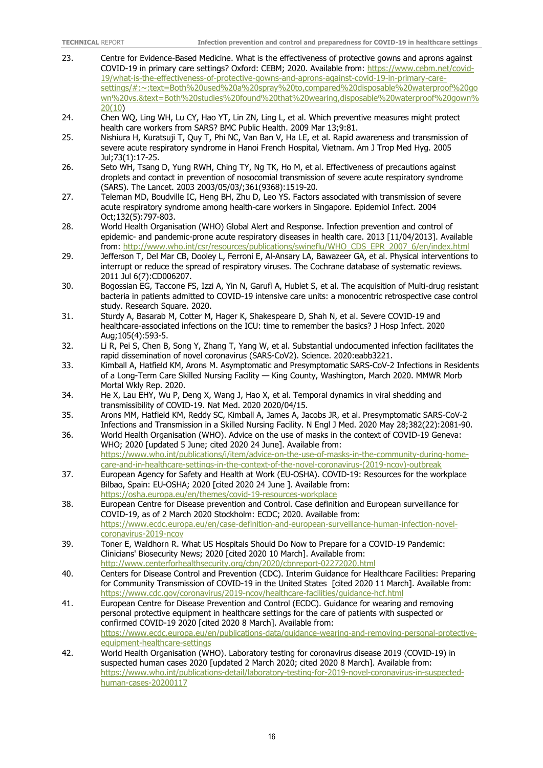- 23. Centre for Evidence-Based Medicine. What is the effectiveness of protective gowns and aprons against COVID-19 in primary care settings? Oxford: CEBM; 2020. Available from: [https://www.cebm.net/covid-](https://www.cebm.net/covid-19/what-is-the-effectiveness-of-protective-gowns-and-aprons-against-covid-19-in-primary-care-settings/#:%7E:text=Both%20used%20a%20spray%20to,compared%20disposable%20waterproof%20gown%20vs.&text=Both%20studies%20found%20that%20wearing,disposable%20waterproof%20gown%20(10)[19/what-is-the-effectiveness-of-protective-gowns-and-aprons-against-covid-19-in-primary-care](https://www.cebm.net/covid-19/what-is-the-effectiveness-of-protective-gowns-and-aprons-against-covid-19-in-primary-care-settings/#:%7E:text=Both%20used%20a%20spray%20to,compared%20disposable%20waterproof%20gown%20vs.&text=Both%20studies%20found%20that%20wearing,disposable%20waterproof%20gown%20(10)[settings/#:~:text=Both%20used%20a%20spray%20to,compared%20disposable%20waterproof%20go](https://www.cebm.net/covid-19/what-is-the-effectiveness-of-protective-gowns-and-aprons-against-covid-19-in-primary-care-settings/#:%7E:text=Both%20used%20a%20spray%20to,compared%20disposable%20waterproof%20gown%20vs.&text=Both%20studies%20found%20that%20wearing,disposable%20waterproof%20gown%20(10) [wn%20vs.&text=Both%20studies%20found%20that%20wearing,disposable%20waterproof%20gown%](https://www.cebm.net/covid-19/what-is-the-effectiveness-of-protective-gowns-and-aprons-against-covid-19-in-primary-care-settings/#:%7E:text=Both%20used%20a%20spray%20to,compared%20disposable%20waterproof%20gown%20vs.&text=Both%20studies%20found%20that%20wearing,disposable%20waterproof%20gown%20(10) [20\(10\)](https://www.cebm.net/covid-19/what-is-the-effectiveness-of-protective-gowns-and-aprons-against-covid-19-in-primary-care-settings/#:%7E:text=Both%20used%20a%20spray%20to,compared%20disposable%20waterproof%20gown%20vs.&text=Both%20studies%20found%20that%20wearing,disposable%20waterproof%20gown%20(10)
- 24. Chen WQ, Ling WH, Lu CY, Hao YT, Lin ZN, Ling L, et al. Which preventive measures might protect health care workers from SARS? BMC Public Health. 2009 Mar 13;9:81.
- 25. Nishiura H, Kuratsuji T, Quy T, Phi NC, Van Ban V, Ha LE, et al. Rapid awareness and transmission of severe acute respiratory syndrome in Hanoi French Hospital, Vietnam. Am J Trop Med Hyg. 2005 Jul;73(1):17-25.
- 26. Seto WH, Tsang D, Yung RWH, Ching TY, Ng TK, Ho M, et al. Effectiveness of precautions against droplets and contact in prevention of nosocomial transmission of severe acute respiratory syndrome (SARS). The Lancet. 2003 2003/05/03/;361(9368):1519-20.
- 27. Teleman MD, Boudville IC, Heng BH, Zhu D, Leo YS. Factors associated with transmission of severe acute respiratory syndrome among health-care workers in Singapore. Epidemiol Infect. 2004 Oct;132(5):797-803.
- 28. World Health Organisation (WHO) Global Alert and Response. Infection prevention and control of epidemic- and pandemic-prone acute respiratory diseases in health care. 2013 [11/04/2013]. Available from: [http://www.who.int/csr/resources/publications/swineflu/WHO\\_CDS\\_EPR\\_2007\\_6/en/index.html](http://www.who.int/csr/resources/publications/swineflu/WHO_CDS_EPR_2007_6/en/index.html)
- 29. Jefferson T, Del Mar CB, Dooley L, Ferroni E, Al-Ansary LA, Bawazeer GA, et al. Physical interventions to interrupt or reduce the spread of respiratory viruses. The Cochrane database of systematic reviews. 2011 Jul 6(7):CD006207.
- 30. Bogossian EG, Taccone FS, Izzi A, Yin N, Garufi A, Hublet S, et al. The acquisition of Multi-drug resistant bacteria in patients admitted to COVID-19 intensive care units: a monocentric retrospective case control study. Research Square. 2020.
- 31. Sturdy A, Basarab M, Cotter M, Hager K, Shakespeare D, Shah N, et al. Severe COVID-19 and healthcare-associated infections on the ICU: time to remember the basics? J Hosp Infect. 2020 Aug;105(4):593-5.
- 32. Li R, Pei S, Chen B, Song Y, Zhang T, Yang W, et al. Substantial undocumented infection facilitates the rapid dissemination of novel coronavirus (SARS-CoV2). Science. 2020:eabb3221.
- 33. Kimball A, Hatfield KM, Arons M. Asymptomatic and Presymptomatic SARS-CoV-2 Infections in Residents of a Long-Term Care Skilled Nursing Facility — King County, Washington, March 2020. MMWR Morb Mortal Wkly Rep. 2020.
- 34. He X, Lau EHY, Wu P, Deng X, Wang J, Hao X, et al. Temporal dynamics in viral shedding and transmissibility of COVID-19. Nat Med. 2020 2020/04/15.
- 35. Arons MM, Hatfield KM, Reddy SC, Kimball A, James A, Jacobs JR, et al. Presymptomatic SARS-CoV-2 Infections and Transmission in a Skilled Nursing Facility. N Engl J Med. 2020 May 28;382(22):2081-90.
- 36. World Health Organisation (WHO). Advice on the use of masks in the context of COVID-19 Geneva: WHO; 2020 [updated 5 June; cited 2020 24 June]. Available from: [https://www.who.int/publications/i/item/advice-on-the-use-of-masks-in-the-community-during-home-](https://www.who.int/publications/i/item/advice-on-the-use-of-masks-in-the-community-during-home-care-and-in-healthcare-settings-in-the-context-of-the-novel-coronavirus-(2019-ncov)-outbreak)
- [care-and-in-healthcare-settings-in-the-context-of-the-novel-coronavirus-\(2019-ncov\)-outbreak](https://www.who.int/publications/i/item/advice-on-the-use-of-masks-in-the-community-during-home-care-and-in-healthcare-settings-in-the-context-of-the-novel-coronavirus-(2019-ncov)-outbreak) 37. European Agency for Safety and Health at Work (EU-OSHA). COVID-19: Resources for the workplace Bilbao, Spain: EU-OSHA; 2020 [cited 2020 24 June ]. Available from: <https://osha.europa.eu/en/themes/covid-19-resources-workplace>
- 38. European Centre for Disease prevention and Control. Case definition and European surveillance for COVID-19, as of 2 March 2020 Stockholm: ECDC; 2020. Available from: [https://www.ecdc.europa.eu/en/case-definition-and-european-surveillance-human-infection-novel](https://www.ecdc.europa.eu/en/case-definition-and-european-surveillance-human-infection-novel-coronavirus-2019-ncov)[coronavirus-2019-ncov](https://www.ecdc.europa.eu/en/case-definition-and-european-surveillance-human-infection-novel-coronavirus-2019-ncov)
- 39. Toner E, Waldhorn R. What US Hospitals Should Do Now to Prepare for a COVID-19 Pandemic: Clinicians' Biosecurity News; 2020 [cited 2020 10 March]. Available from: <http://www.centerforhealthsecurity.org/cbn/2020/cbnreport-02272020.html>
- 40. Centers for Disease Control and Prevention (CDC). Interim Guidance for Healthcare Facilities: Preparing for Community Transmission of COVID-19 in the United States [cited 2020 11 March]. Available from: <https://www.cdc.gov/coronavirus/2019-ncov/healthcare-facilities/guidance-hcf.html>
- 41. European Centre for Disease Prevention and Control (ECDC). Guidance for wearing and removing personal protective equipment in healthcare settings for the care of patients with suspected or confirmed COVID-19 2020 [cited 2020 8 March]. Available from: [https://www.ecdc.europa.eu/en/publications-data/guidance-wearing-and-removing-personal-protective](https://www.ecdc.europa.eu/en/publications-data/guidance-wearing-and-removing-personal-protective-equipment-healthcare-settings)[equipment-healthcare-settings](https://www.ecdc.europa.eu/en/publications-data/guidance-wearing-and-removing-personal-protective-equipment-healthcare-settings)
- 42. World Health Organisation (WHO). Laboratory testing for coronavirus disease 2019 (COVID-19) in suspected human cases 2020 [updated 2 March 2020; cited 2020 8 March]. Available from: [https://www.who.int/publications-detail/laboratory-testing-for-2019-novel-coronavirus-in-suspected](https://www.who.int/publications-detail/laboratory-testing-for-2019-novel-coronavirus-in-suspected-human-cases-20200117)[human-cases-20200117](https://www.who.int/publications-detail/laboratory-testing-for-2019-novel-coronavirus-in-suspected-human-cases-20200117)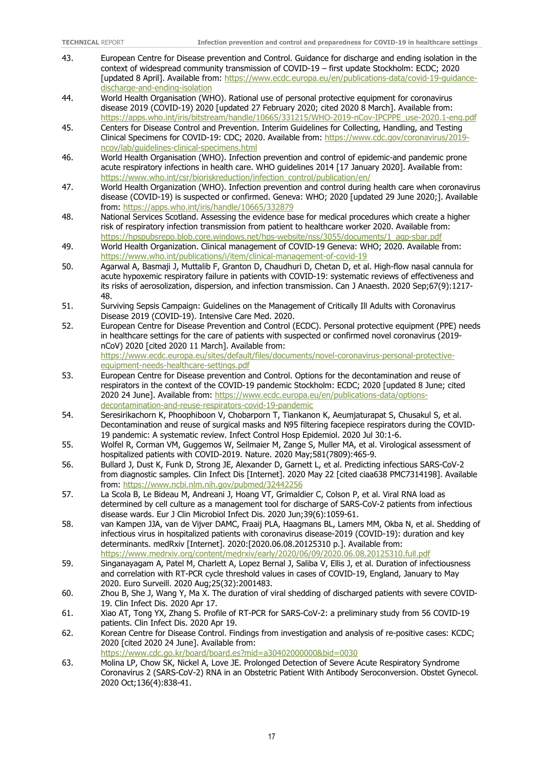- 43. European Centre for Disease prevention and Control. Guidance for discharge and ending isolation in the context of widespread community transmission of COVID-19 – first update Stockholm: ECDC; 2020 [updated 8 April]. Available from: https://www.ecdc.europa.eu/en/publications-data/covid-19-quidance[discharge-and-ending-isolation](https://www.ecdc.europa.eu/en/publications-data/covid-19-guidance-discharge-and-ending-isolation)
- 44. World Health Organisation (WHO). Rational use of personal protective equipment for coronavirus disease 2019 (COVID-19) 2020 [updated 27 February 2020; cited 2020 8 March]. Available from: [https://apps.who.int/iris/bitstream/handle/10665/331215/WHO-2019-nCov-IPCPPE\\_use-2020.1-eng.pdf](https://apps.who.int/iris/bitstream/handle/10665/331215/WHO-2019-nCov-IPCPPE_use-2020.1-eng.pdf)
- 45. Centers for Disease Control and Prevention. Interim Guidelines for Collecting, Handling, and Testing Clinical Specimens for COVID-19: CDC; 2020. Available from: [https://www.cdc.gov/coronavirus/2019](https://www.cdc.gov/coronavirus/2019-ncov/lab/guidelines-clinical-specimens.html) [ncov/lab/guidelines-clinical-specimens.html](https://www.cdc.gov/coronavirus/2019-ncov/lab/guidelines-clinical-specimens.html)
- 46. World Health Organisation (WHO). Infection prevention and control of epidemic-and pandemic prone acute respiratory infections in health care. WHO guidelines 2014 [17 January 2020]. Available from: [https://www.who.int/csr/bioriskreduction/infection\\_control/publication/en/](https://www.who.int/csr/bioriskreduction/infection_control/publication/en/)
- 47. World Health Organization (WHO). Infection prevention and control during health care when coronavirus disease (COVID-19) is suspected or confirmed. Geneva: WHO; 2020 [updated 29 June 2020;]. Available from: <https://apps.who.int/iris/handle/10665/332879>
- 48. National Services Scotland. Assessing the evidence base for medical procedures which create a higher risk of respiratory infection transmission from patient to healthcare worker 2020. Available from: [https://hpspubsrepo.blob.core.windows.net/hps-website/nss/3055/documents/1\\_agp-sbar.pdf](https://hpspubsrepo.blob.core.windows.net/hps-website/nss/3055/documents/1_agp-sbar.pdf)
- 49. World Health Organization. Clinical management of COVID-19 Geneva: WHO; 2020. Available from: <https://www.who.int/publications/i/item/clinical-management-of-covid-19>
- 50. Agarwal A, Basmaji J, Muttalib F, Granton D, Chaudhuri D, Chetan D, et al. High-flow nasal cannula for acute hypoxemic respiratory failure in patients with COVID-19: systematic reviews of effectiveness and its risks of aerosolization, dispersion, and infection transmission. Can J Anaesth. 2020 Sep;67(9):1217- 48.
- 51. Surviving Sepsis Campaign: Guidelines on the Management of Critically Ill Adults with Coronavirus Disease 2019 (COVID-19). Intensive Care Med. 2020.
- 52. European Centre for Disease Prevention and Control (ECDC). Personal protective equipment (PPE) needs in healthcare settings for the care of patients with suspected or confirmed novel coronavirus (2019 nCoV) 2020 [cited 2020 11 March]. Available from: [https://www.ecdc.europa.eu/sites/default/files/documents/novel-coronavirus-personal-protective](https://www.ecdc.europa.eu/sites/default/files/documents/novel-coronavirus-personal-protective-equipment-needs-healthcare-settings.pdf)[equipment-needs-healthcare-settings.pdf](https://www.ecdc.europa.eu/sites/default/files/documents/novel-coronavirus-personal-protective-equipment-needs-healthcare-settings.pdf)
- 53. European Centre for Disease prevention and Control. Options for the decontamination and reuse of respirators in the context of the COVID-19 pandemic Stockholm: ECDC; 2020 [updated 8 June; cited 2020 24 June]. Available from: [https://www.ecdc.europa.eu/en/publications-data/options](https://www.ecdc.europa.eu/en/publications-data/options-decontamination-and-reuse-respirators-covid-19-pandemic)[decontamination-and-reuse-respirators-covid-19-pandemic](https://www.ecdc.europa.eu/en/publications-data/options-decontamination-and-reuse-respirators-covid-19-pandemic)
- 54. Seresirikachorn K, Phoophiboon V, Chobarporn T, Tiankanon K, Aeumjaturapat S, Chusakul S, et al. Decontamination and reuse of surgical masks and N95 filtering facepiece respirators during the COVID-19 pandemic: A systematic review. Infect Control Hosp Epidemiol. 2020 Jul 30:1-6.
- 55. Wolfel R, Corman VM, Guggemos W, Seilmaier M, Zange S, Muller MA, et al. Virological assessment of hospitalized patients with COVID-2019. Nature. 2020 May;581(7809):465-9.
- 56. Bullard J, Dust K, Funk D, Strong JE, Alexander D, Garnett L, et al. Predicting infectious SARS-CoV-2 from diagnostic samples. Clin Infect Dis [Internet]. 2020 May 22 [cited ciaa638 PMC7314198]. Available from:<https://www.ncbi.nlm.nih.gov/pubmed/32442256>
- 57. La Scola B, Le Bideau M, Andreani J, Hoang VT, Grimaldier C, Colson P, et al. Viral RNA load as determined by cell culture as a management tool for discharge of SARS-CoV-2 patients from infectious disease wards. Eur J Clin Microbiol Infect Dis. 2020 Jun;39(6):1059-61.
- 58. van Kampen JJA, van de Vijver DAMC, Fraaij PLA, Haagmans BL, Lamers MM, Okba N, et al. Shedding of infectious virus in hospitalized patients with coronavirus disease-2019 (COVID-19): duration and key determinants. medRxiv [Internet]. 2020:[2020.06.08.20125310 p.]. Available from: <https://www.medrxiv.org/content/medrxiv/early/2020/06/09/2020.06.08.20125310.full.pdf>
- 59. Singanayagam A, Patel M, Charlett A, Lopez Bernal J, Saliba V, Ellis J, et al. Duration of infectiousness and correlation with RT-PCR cycle threshold values in cases of COVID-19, England, January to May 2020. Euro Surveill. 2020 Aug;25(32):2001483.
- 60. Zhou B, She J, Wang Y, Ma X. The duration of viral shedding of discharged patients with severe COVID-19. Clin Infect Dis. 2020 Apr 17.
- 61. Xiao AT, Tong YX, Zhang S. Profile of RT-PCR for SARS-CoV-2: a preliminary study from 56 COVID-19 patients. Clin Infect Dis. 2020 Apr 19.
- 62. Korean Centre for Disease Control. Findings from investigation and analysis of re-positive cases: KCDC; 2020 [cited 2020 24 June]. Available from:
- <https://www.cdc.go.kr/board/board.es?mid=a30402000000&bid=0030>
- 63. Molina LP, Chow SK, Nickel A, Love JE. Prolonged Detection of Severe Acute Respiratory Syndrome Coronavirus 2 (SARS-CoV-2) RNA in an Obstetric Patient With Antibody Seroconversion. Obstet Gynecol. 2020 Oct;136(4):838-41.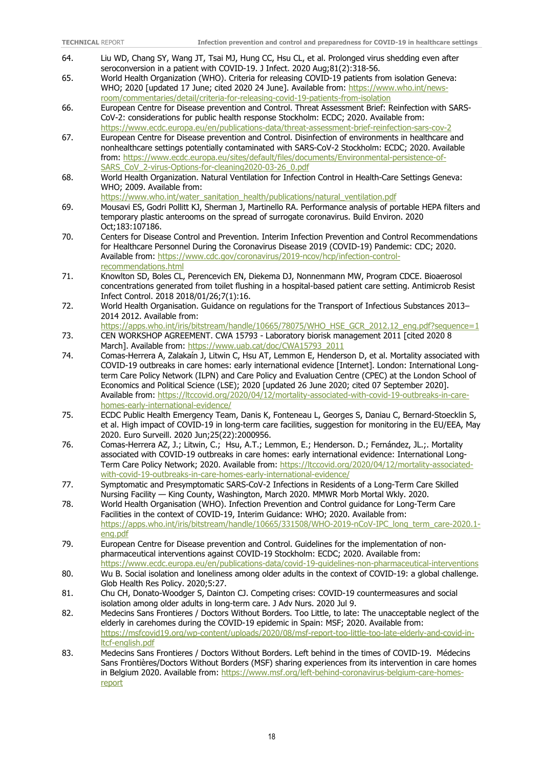- 64. Liu WD, Chang SY, Wang JT, Tsai MJ, Hung CC, Hsu CL, et al. Prolonged virus shedding even after seroconversion in a patient with COVID-19. J Infect. 2020 Aug;81(2):318-56.
- 65. World Health Organization (WHO). Criteria for releasing COVID-19 patients from isolation Geneva: WHO; 2020 [updated 17 June; cited 2020 24 June]. Available from: [https://www.who.int/news](https://www.who.int/news-room/commentaries/detail/criteria-for-releasing-covid-19-patients-from-isolation)[room/commentaries/detail/criteria-for-releasing-covid-19-patients-from-isolation](https://www.who.int/news-room/commentaries/detail/criteria-for-releasing-covid-19-patients-from-isolation)
- 66. European Centre for Disease prevention and Control. Threat Assessment Brief: Reinfection with SARS-CoV-2: considerations for public health response Stockholm: ECDC; 2020. Available from: <https://www.ecdc.europa.eu/en/publications-data/threat-assessment-brief-reinfection-sars-cov-2>
- 67. European Centre for Disease prevention and Control. Disinfection of environments in healthcare and nonhealthcare settings potentially contaminated with SARS-CoV-2 Stockholm: ECDC; 2020. Available from: [https://www.ecdc.europa.eu/sites/default/files/documents/Environmental-persistence-of-](https://www.ecdc.europa.eu/sites/default/files/documents/Environmental-persistence-of-SARS_CoV_2-virus-Options-for-cleaning2020-03-26_0.pdf)[SARS\\_CoV\\_2-virus-Options-for-cleaning2020-03-26\\_0.pdf](https://www.ecdc.europa.eu/sites/default/files/documents/Environmental-persistence-of-SARS_CoV_2-virus-Options-for-cleaning2020-03-26_0.pdf)
- 68. World Health Organization. Natural Ventilation for Infection Control in Health-Care Settings Geneva: WHO; 2009. Available from:
	- [https://www.who.int/water\\_sanitation\\_health/publications/natural\\_ventilation.pdf](https://www.who.int/water_sanitation_health/publications/natural_ventilation.pdf)
- 69. Mousavi ES, Godri Pollitt KJ, Sherman J, Martinello RA. Performance analysis of portable HEPA filters and temporary plastic anterooms on the spread of surrogate coronavirus. Build Environ. 2020 Oct;183:107186.
- 70. Centers for Disease Control and Prevention. Interim Infection Prevention and Control Recommendations for Healthcare Personnel During the Coronavirus Disease 2019 (COVID-19) Pandemic: CDC; 2020. Available from: [https://www.cdc.gov/coronavirus/2019-ncov/hcp/infection-control](https://www.cdc.gov/coronavirus/2019-ncov/hcp/infection-control-recommendations.html)[recommendations.html](https://www.cdc.gov/coronavirus/2019-ncov/hcp/infection-control-recommendations.html)
- 71. Knowlton SD, Boles CL, Perencevich EN, Diekema DJ, Nonnenmann MW, Program CDCE. Bioaerosol concentrations generated from toilet flushing in a hospital-based patient care setting. Antimicrob Resist Infect Control. 2018 2018/01/26;7(1):16.
- 72. World Health Organisation. Guidance on regulations for the Transport of Infectious Substances 2013– 2014 2012. Available from:
- [https://apps.who.int/iris/bitstream/handle/10665/78075/WHO\\_HSE\\_GCR\\_2012.12\\_eng.pdf?sequence=1](https://apps.who.int/iris/bitstream/handle/10665/78075/WHO_HSE_GCR_2012.12_eng.pdf?sequence=1) 73. CEN WORKSHOP AGREEMENT. CWA 15793 - Laboratory biorisk management 2011 [cited 2020 8 March]. Available from: [https://www.uab.cat/doc/CWA15793\\_2011](https://www.uab.cat/doc/CWA15793_2011)
- 74. Comas-Herrera A, Zalakaín J, Litwin C, Hsu AT, Lemmon E, Henderson D, et al. Mortality associated with COVID-19 outbreaks in care homes: early international evidence [Internet]. London: International Longterm Care Policy Network (ILPN) and Care Policy and Evaluation Centre (CPEC) at the London School of Economics and Political Science (LSE); 2020 [updated 26 June 2020; cited 07 September 2020]. Available from: [https://ltccovid.org/2020/04/12/mortality-associated-with-covid-19-outbreaks-in-care](https://ltccovid.org/2020/04/12/mortality-associated-with-covid-19-outbreaks-in-care-homes-early-international-evidence/)[homes-early-international-evidence/](https://ltccovid.org/2020/04/12/mortality-associated-with-covid-19-outbreaks-in-care-homes-early-international-evidence/)
- 75. ECDC Public Health Emergency Team, Danis K, Fonteneau L, Georges S, Daniau C, Bernard-Stoecklin S, et al. High impact of COVID-19 in long-term care facilities, suggestion for monitoring in the EU/EEA, May 2020. Euro Surveill. 2020 Jun;25(22):2000956.
- 76. Comas-Herrera AZ, J.; Litwin, C.; Hsu, A.T.; Lemmon, E.; Henderson. D.; Fernández, JL.;. Mortality associated with COVID-19 outbreaks in care homes: early international evidence: International Long-Term Care Policy Network; 2020. Available from: [https://ltccovid.org/2020/04/12/mortality-associated](https://ltccovid.org/2020/04/12/mortality-associated-with-covid-19-outbreaks-in-care-homes-early-international-evidence/)[with-covid-19-outbreaks-in-care-homes-early-international-evidence/](https://ltccovid.org/2020/04/12/mortality-associated-with-covid-19-outbreaks-in-care-homes-early-international-evidence/)
- 77. Symptomatic and Presymptomatic SARS-CoV-2 Infections in Residents of a Long-Term Care Skilled Nursing Facility — King County, Washington, March 2020. MMWR Morb Mortal Wkly. 2020.
- 78. World Health Organisation (WHO). Infection Prevention and Control guidance for Long-Term Care Facilities in the context of COVID-19, Interim Guidance: WHO; 2020. Available from: [https://apps.who.int/iris/bitstream/handle/10665/331508/WHO-2019-nCoV-IPC\\_long\\_term\\_care-2020.1](https://apps.who.int/iris/bitstream/handle/10665/331508/WHO-2019-nCoV-IPC_long_term_care-2020.1-eng.pdf) [eng.pdf](https://apps.who.int/iris/bitstream/handle/10665/331508/WHO-2019-nCoV-IPC_long_term_care-2020.1-eng.pdf)
- 79. European Centre for Disease prevention and Control. Guidelines for the implementation of nonpharmaceutical interventions against COVID-19 Stockholm: ECDC; 2020. Available from: <https://www.ecdc.europa.eu/en/publications-data/covid-19-guidelines-non-pharmaceutical-interventions>
- 80. Wu B. Social isolation and loneliness among older adults in the context of COVID-19: a global challenge. Glob Health Res Policy. 2020;5:27.
- 81. Chu CH, Donato-Woodger S, Dainton CJ. Competing crises: COVID-19 countermeasures and social isolation among older adults in long-term care. J Adv Nurs. 2020 Jul 9.
- 82. Medecins Sans Frontieres / Doctors Without Borders. Too Little, to late: The unacceptable neglect of the elderly in carehomes during the COVID-19 epidemic in Spain: MSF; 2020. Available from: [https://msfcovid19.org/wp-content/uploads/2020/08/msf-report-too-little-too-late-elderly-and-covid-in](https://msfcovid19.org/wp-content/uploads/2020/08/msf-report-too-little-too-late-elderly-and-covid-in-ltcf-english.pdf)[ltcf-english.pdf](https://msfcovid19.org/wp-content/uploads/2020/08/msf-report-too-little-too-late-elderly-and-covid-in-ltcf-english.pdf)
- 83. Medecins Sans Frontieres / Doctors Without Borders. Left behind in the times of COVID-19. Médecins Sans Frontières/Doctors Without Borders (MSF) sharing experiences from its intervention in care homes in Belgium 2020. Available from: [https://www.msf.org/left-behind-coronavirus-belgium-care-homes](https://www.msf.org/left-behind-coronavirus-belgium-care-homes-report)[report](https://www.msf.org/left-behind-coronavirus-belgium-care-homes-report)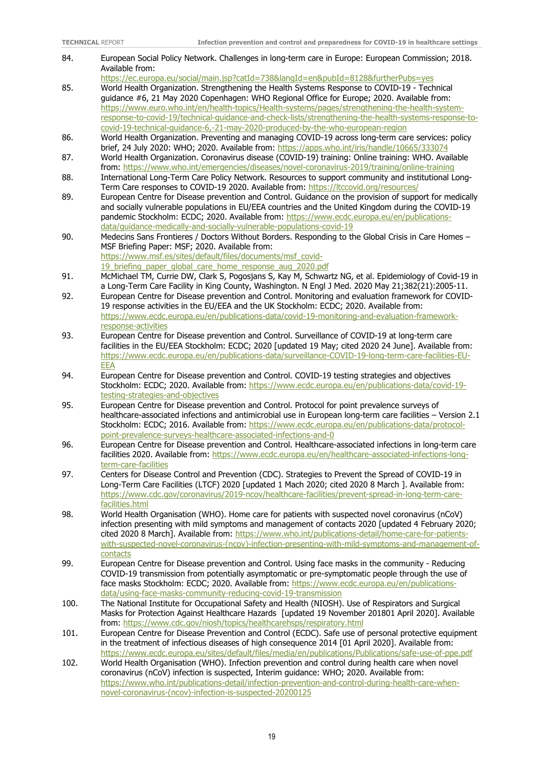| 84.  | European Social Policy Network. Challenges in long-term care in Europe: European Commission; 2018.<br>Available from:                                                                                      |
|------|------------------------------------------------------------------------------------------------------------------------------------------------------------------------------------------------------------|
|      | https://ec.europa.eu/social/main.jsp?catId=738&langId=en&pubId=8128&furtherPubs=yes                                                                                                                        |
| 85.  | World Health Organization. Strengthening the Health Systems Response to COVID-19 - Technical                                                                                                               |
|      | guidance #6, 21 May 2020 Copenhagen: WHO Regional Office for Europe; 2020. Available from:                                                                                                                 |
|      | https://www.euro.who.int/en/health-topics/Health-systems/pages/strengthening-the-health-system-                                                                                                            |
|      | response-to-covid-19/technical-quidance-and-check-lists/strengthening-the-health-systems-response-to-                                                                                                      |
|      | covid-19-technical-guidance-6,-21-may-2020-produced-by-the-who-european-region                                                                                                                             |
| 86.  | World Health Organization. Preventing and managing COVID-19 across long-term care services: policy                                                                                                         |
|      | brief, 24 July 2020: WHO; 2020. Available from: https://apps.who.int/iris/handle/10665/333074                                                                                                              |
| 87.  | World Health Organization. Coronavirus disease (COVID-19) training: Online training: WHO. Available                                                                                                        |
|      | from: https://www.who.int/emergencies/diseases/novel-coronavirus-2019/training/online-training                                                                                                             |
| 88.  | International Long-Term Care Policy Network. Resources to support community and institutional Long-                                                                                                        |
| 89.  | Term Care responses to COVID-19 2020. Available from: https://ltccovid.org/resources/<br>European Centre for Disease prevention and Control. Guidance on the provision of support for medically            |
|      | and socially vulnerable populations in EU/EEA countries and the United Kingdom during the COVID-19                                                                                                         |
|      | pandemic Stockholm: ECDC; 2020. Available from: https://www.ecdc.europa.eu/en/publications-                                                                                                                |
|      | data/quidance-medically-and-socially-vulnerable-populations-covid-19                                                                                                                                       |
| 90.  | Medecins Sans Frontieres / Doctors Without Borders. Responding to the Global Crisis in Care Homes -                                                                                                        |
|      | MSF Briefing Paper: MSF; 2020. Available from:                                                                                                                                                             |
|      | https://www.msf.es/sites/default/files/documents/msf_covid-                                                                                                                                                |
|      | 19 briefing paper global care home response aug 2020.pdf                                                                                                                                                   |
| 91.  | McMichael TM, Currie DW, Clark S, Pogosjans S, Kay M, Schwartz NG, et al. Epidemiology of Covid-19 in                                                                                                      |
|      | a Long-Term Care Facility in King County, Washington. N Engl J Med. 2020 May 21;382(21):2005-11.                                                                                                           |
| 92.  | European Centre for Disease prevention and Control. Monitoring and evaluation framework for COVID-                                                                                                         |
|      | 19 response activities in the EU/EEA and the UK Stockholm: ECDC; 2020. Available from:                                                                                                                     |
|      | https://www.ecdc.europa.eu/en/publications-data/covid-19-monitoring-and-evaluation-framework-<br>response-activities                                                                                       |
| 93.  | European Centre for Disease prevention and Control. Surveillance of COVID-19 at long-term care                                                                                                             |
|      | facilities in the EU/EEA Stockholm: ECDC; 2020 [updated 19 May; cited 2020 24 June]. Available from:                                                                                                       |
|      | https://www.ecdc.europa.eu/en/publications-data/surveillance-COVID-19-long-term-care-facilities-EU-                                                                                                        |
|      | <b>EEA</b>                                                                                                                                                                                                 |
| 94.  | European Centre for Disease prevention and Control. COVID-19 testing strategies and objectives                                                                                                             |
|      | Stockholm: ECDC; 2020. Available from: https://www.ecdc.europa.eu/en/publications-data/covid-19-                                                                                                           |
|      | testing-strategies-and-objectives                                                                                                                                                                          |
| 95.  | European Centre for Disease prevention and Control. Protocol for point prevalence surveys of                                                                                                               |
|      | healthcare-associated infections and antimicrobial use in European long-term care facilities - Version 2.1                                                                                                 |
|      | Stockholm: ECDC; 2016. Available from: https://www.ecdc.europa.eu/en/publications-data/protocol-<br>point-prevalence-surveys-healthcare-associated-infections-and-0                                        |
| 96.  | European Centre for Disease prevention and Control. Healthcare-associated infections in long-term care                                                                                                     |
|      | facilities 2020. Available from: https://www.ecdc.europa.eu/en/healthcare-associated-infections-long-                                                                                                      |
|      | term-care-facilities                                                                                                                                                                                       |
| 97.  | Centers for Disease Control and Prevention (CDC). Strategies to Prevent the Spread of COVID-19 in                                                                                                          |
|      | Long-Term Care Facilities (LTCF) 2020 [updated 1 Mach 2020; cited 2020 8 March ]. Available from:                                                                                                          |
|      | https://www.cdc.gov/coronavirus/2019-ncov/healthcare-facilities/prevent-spread-in-long-term-care-                                                                                                          |
|      | facilities.html                                                                                                                                                                                            |
| 98.  | World Health Organisation (WHO). Home care for patients with suspected novel coronavirus (nCoV)                                                                                                            |
|      | infection presenting with mild symptoms and management of contacts 2020 [updated 4 February 2020;                                                                                                          |
|      | cited 2020 8 March]. Available from: https://www.who.int/publications-detail/home-care-for-patients-<br>with-suspected-novel-coronavirus-(ncov)-infection-presenting-with-mild-symptoms-and-management-of- |
|      | contacts                                                                                                                                                                                                   |
| 99.  | European Centre for Disease prevention and Control. Using face masks in the community - Reducing                                                                                                           |
|      | COVID-19 transmission from potentially asymptomatic or pre-symptomatic people through the use of                                                                                                           |
|      | face masks Stockholm: ECDC; 2020. Available from: https://www.ecdc.europa.eu/en/publications-                                                                                                              |
|      | data/using-face-masks-community-reducing-covid-19-transmission                                                                                                                                             |
| 100. | The National Institute for Occupational Safety and Health (NIOSH). Use of Respirators and Surgical                                                                                                         |
|      | Masks for Protection Against Healthcare Hazards [updated 19 November 201801 April 2020]. Available                                                                                                         |
|      | from: https://www.cdc.gov/niosh/topics/healthcarehsps/respiratory.html                                                                                                                                     |
| 101. | European Centre for Disease Prevention and Control (ECDC). Safe use of personal protective equipment                                                                                                       |
|      | in the treatment of infectious diseases of high consequence 2014 [01 April 2020]. Available from:<br>https://www.ecdc.europa.eu/sites/default/files/media/en/publications/Publications/safe-use-of-ppe.pdf |
| 102. | World Health Organisation (WHO). Infection prevention and control during health care when novel                                                                                                            |
|      | coronavirus (nCoV) infection is suspected, Interim guidance: WHO; 2020. Available from:                                                                                                                    |
|      | https://www.who.int/publications-detail/infection-prevention-and-control-during-health-care-when-                                                                                                          |
|      | novel-coronavirus-(ncov)-infection-is-suspected-20200125                                                                                                                                                   |